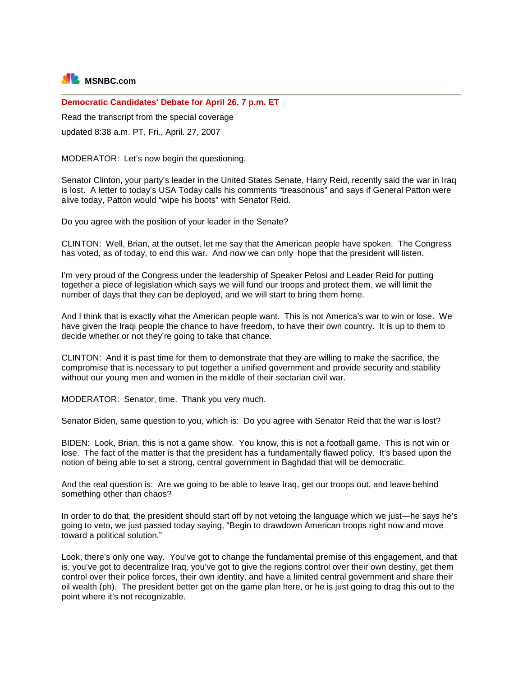# **MSNBC.com**

**Democratic Candidates' Debate for April 26, 7 p.m. ET**  Read the transcript from the special coverage updated 8:38 a.m. PT, Fri., April. 27, 2007

MODERATOR: Let's now begin the questioning.

Senator Clinton, your party's leader in the United States Senate, Harry Reid, recently said the war in Iraq is lost. A letter to today's USA Today calls his comments "treasonous" and says if General Patton were alive today, Patton would "wipe his boots" with Senator Reid.

Do you agree with the position of your leader in the Senate?

CLINTON: Well, Brian, at the outset, let me say that the American people have spoken. The Congress has voted, as of today, to end this war. And now we can only hope that the president will listen.

I'm very proud of the Congress under the leadership of Speaker Pelosi and Leader Reid for putting together a piece of legislation which says we will fund our troops and protect them, we will limit the number of days that they can be deployed, and we will start to bring them home.

And I think that is exactly what the American people want. This is not America's war to win or lose. We have given the Iraqi people the chance to have freedom, to have their own country. It is up to them to decide whether or not they're going to take that chance.

CLINTON: And it is past time for them to demonstrate that they are willing to make the sacrifice, the compromise that is necessary to put together a unified government and provide security and stability without our young men and women in the middle of their sectarian civil war.

MODERATOR: Senator, time. Thank you very much.

Senator Biden, same question to you, which is: Do you agree with Senator Reid that the war is lost?

BIDEN: Look, Brian, this is not a game show. You know, this is not a football game. This is not win or lose. The fact of the matter is that the president has a fundamentally flawed policy. It's based upon the notion of being able to set a strong, central government in Baghdad that will be democratic.

And the real question is: Are we going to be able to leave Iraq, get our troops out, and leave behind something other than chaos?

In order to do that, the president should start off by not vetoing the language which we just—he says he's going to veto, we just passed today saying, "Begin to drawdown American troops right now and move toward a political solution."

Look, there's only one way. You've got to change the fundamental premise of this engagement, and that is, you've got to decentralize Iraq, you've got to give the regions control over their own destiny, get them control over their police forces, their own identity, and have a limited central government and share their oil wealth (ph). The president better get on the game plan here, or he is just going to drag this out to the point where it's not recognizable.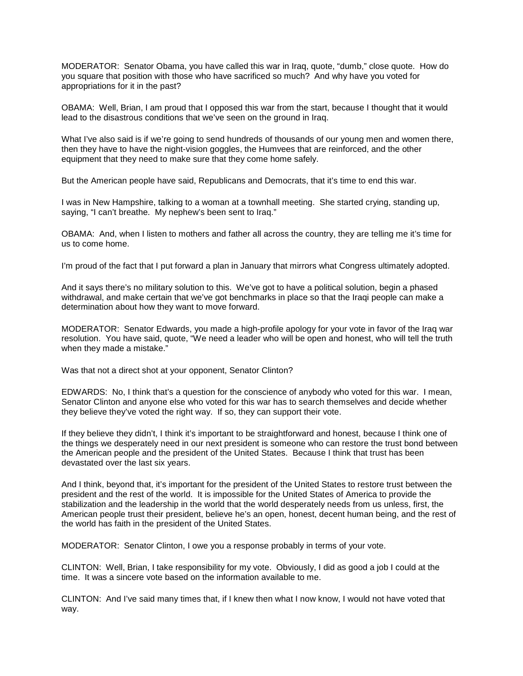MODERATOR: Senator Obama, you have called this war in Iraq, quote, "dumb," close quote. How do you square that position with those who have sacrificed so much? And why have you voted for appropriations for it in the past?

OBAMA: Well, Brian, I am proud that I opposed this war from the start, because I thought that it would lead to the disastrous conditions that we've seen on the ground in Iraq.

What I've also said is if we're going to send hundreds of thousands of our young men and women there, then they have to have the night-vision goggles, the Humvees that are reinforced, and the other equipment that they need to make sure that they come home safely.

But the American people have said, Republicans and Democrats, that it's time to end this war.

I was in New Hampshire, talking to a woman at a townhall meeting. She started crying, standing up, saying, "I can't breathe. My nephew's been sent to Iraq."

OBAMA: And, when I listen to mothers and father all across the country, they are telling me it's time for us to come home.

I'm proud of the fact that I put forward a plan in January that mirrors what Congress ultimately adopted.

And it says there's no military solution to this. We've got to have a political solution, begin a phased withdrawal, and make certain that we've got benchmarks in place so that the Iraqi people can make a determination about how they want to move forward.

MODERATOR: Senator Edwards, you made a high-profile apology for your vote in favor of the Iraq war resolution. You have said, quote, "We need a leader who will be open and honest, who will tell the truth when they made a mistake."

Was that not a direct shot at your opponent, Senator Clinton?

EDWARDS: No, I think that's a question for the conscience of anybody who voted for this war. I mean, Senator Clinton and anyone else who voted for this war has to search themselves and decide whether they believe they've voted the right way. If so, they can support their vote.

If they believe they didn't, I think it's important to be straightforward and honest, because I think one of the things we desperately need in our next president is someone who can restore the trust bond between the American people and the president of the United States. Because I think that trust has been devastated over the last six years.

And I think, beyond that, it's important for the president of the United States to restore trust between the president and the rest of the world. It is impossible for the United States of America to provide the stabilization and the leadership in the world that the world desperately needs from us unless, first, the American people trust their president, believe he's an open, honest, decent human being, and the rest of the world has faith in the president of the United States.

MODERATOR: Senator Clinton, I owe you a response probably in terms of your vote.

CLINTON: Well, Brian, I take responsibility for my vote. Obviously, I did as good a job I could at the time. It was a sincere vote based on the information available to me.

CLINTON: And I've said many times that, if I knew then what I now know, I would not have voted that way.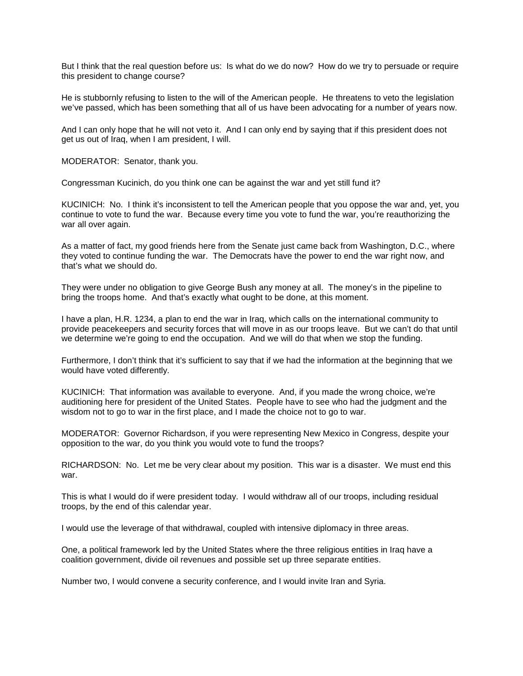But I think that the real question before us: Is what do we do now? How do we try to persuade or require this president to change course?

He is stubbornly refusing to listen to the will of the American people. He threatens to veto the legislation we've passed, which has been something that all of us have been advocating for a number of years now.

And I can only hope that he will not veto it. And I can only end by saying that if this president does not get us out of Iraq, when I am president, I will.

MODERATOR: Senator, thank you.

Congressman Kucinich, do you think one can be against the war and yet still fund it?

KUCINICH: No. I think it's inconsistent to tell the American people that you oppose the war and, yet, you continue to vote to fund the war. Because every time you vote to fund the war, you're reauthorizing the war all over again.

As a matter of fact, my good friends here from the Senate just came back from Washington, D.C., where they voted to continue funding the war. The Democrats have the power to end the war right now, and that's what we should do.

They were under no obligation to give George Bush any money at all. The money's in the pipeline to bring the troops home. And that's exactly what ought to be done, at this moment.

I have a plan, H.R. 1234, a plan to end the war in Iraq, which calls on the international community to provide peacekeepers and security forces that will move in as our troops leave. But we can't do that until we determine we're going to end the occupation. And we will do that when we stop the funding.

Furthermore, I don't think that it's sufficient to say that if we had the information at the beginning that we would have voted differently.

KUCINICH: That information was available to everyone. And, if you made the wrong choice, we're auditioning here for president of the United States. People have to see who had the judgment and the wisdom not to go to war in the first place, and I made the choice not to go to war.

MODERATOR: Governor Richardson, if you were representing New Mexico in Congress, despite your opposition to the war, do you think you would vote to fund the troops?

RICHARDSON: No. Let me be very clear about my position. This war is a disaster. We must end this war.

This is what I would do if were president today. I would withdraw all of our troops, including residual troops, by the end of this calendar year.

I would use the leverage of that withdrawal, coupled with intensive diplomacy in three areas.

One, a political framework led by the United States where the three religious entities in Iraq have a coalition government, divide oil revenues and possible set up three separate entities.

Number two, I would convene a security conference, and I would invite Iran and Syria.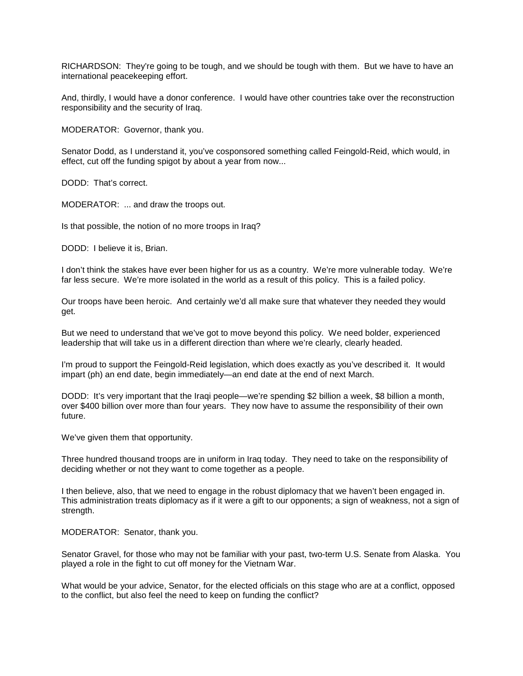RICHARDSON: They're going to be tough, and we should be tough with them. But we have to have an international peacekeeping effort.

And, thirdly, I would have a donor conference. I would have other countries take over the reconstruction responsibility and the security of Iraq.

MODERATOR: Governor, thank you.

Senator Dodd, as I understand it, you've cosponsored something called Feingold-Reid, which would, in effect, cut off the funding spigot by about a year from now...

DODD: That's correct.

MODERATOR: ... and draw the troops out.

Is that possible, the notion of no more troops in Iraq?

DODD: I believe it is, Brian.

I don't think the stakes have ever been higher for us as a country. We're more vulnerable today. We're far less secure. We're more isolated in the world as a result of this policy. This is a failed policy.

Our troops have been heroic. And certainly we'd all make sure that whatever they needed they would get.

But we need to understand that we've got to move beyond this policy. We need bolder, experienced leadership that will take us in a different direction than where we're clearly, clearly headed.

I'm proud to support the Feingold-Reid legislation, which does exactly as you've described it. It would impart (ph) an end date, begin immediately—an end date at the end of next March.

DODD: It's very important that the Iraqi people—we're spending \$2 billion a week, \$8 billion a month, over \$400 billion over more than four years. They now have to assume the responsibility of their own future.

We've given them that opportunity.

Three hundred thousand troops are in uniform in Iraq today. They need to take on the responsibility of deciding whether or not they want to come together as a people.

I then believe, also, that we need to engage in the robust diplomacy that we haven't been engaged in. This administration treats diplomacy as if it were a gift to our opponents; a sign of weakness, not a sign of strength.

MODERATOR: Senator, thank you.

Senator Gravel, for those who may not be familiar with your past, two-term U.S. Senate from Alaska. You played a role in the fight to cut off money for the Vietnam War.

What would be your advice, Senator, for the elected officials on this stage who are at a conflict, opposed to the conflict, but also feel the need to keep on funding the conflict?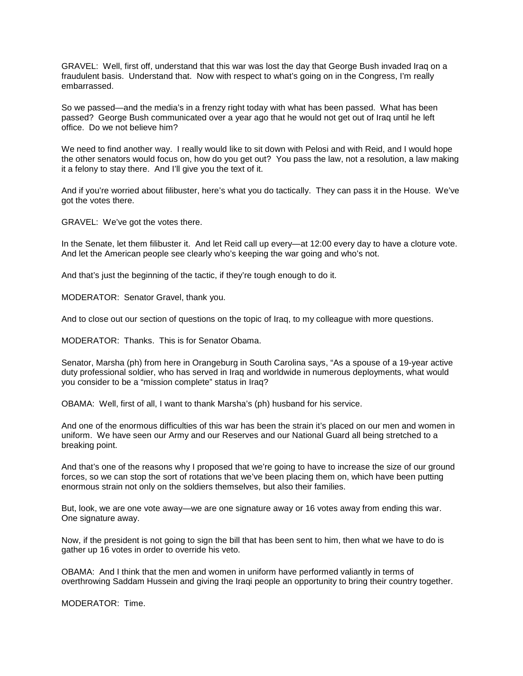GRAVEL: Well, first off, understand that this war was lost the day that George Bush invaded Iraq on a fraudulent basis. Understand that. Now with respect to what's going on in the Congress, I'm really embarrassed.

So we passed—and the media's in a frenzy right today with what has been passed. What has been passed? George Bush communicated over a year ago that he would not get out of Iraq until he left office. Do we not believe him?

We need to find another way. I really would like to sit down with Pelosi and with Reid, and I would hope the other senators would focus on, how do you get out? You pass the law, not a resolution, a law making it a felony to stay there. And I'll give you the text of it.

And if you're worried about filibuster, here's what you do tactically. They can pass it in the House. We've got the votes there.

GRAVEL: We've got the votes there.

In the Senate, let them filibuster it. And let Reid call up every—at 12:00 every day to have a cloture vote. And let the American people see clearly who's keeping the war going and who's not.

And that's just the beginning of the tactic, if they're tough enough to do it.

MODERATOR: Senator Gravel, thank you.

And to close out our section of questions on the topic of Iraq, to my colleague with more questions.

MODERATOR: Thanks. This is for Senator Obama.

Senator, Marsha (ph) from here in Orangeburg in South Carolina says, "As a spouse of a 19-year active duty professional soldier, who has served in Iraq and worldwide in numerous deployments, what would you consider to be a "mission complete" status in Iraq?

OBAMA: Well, first of all, I want to thank Marsha's (ph) husband for his service.

And one of the enormous difficulties of this war has been the strain it's placed on our men and women in uniform. We have seen our Army and our Reserves and our National Guard all being stretched to a breaking point.

And that's one of the reasons why I proposed that we're going to have to increase the size of our ground forces, so we can stop the sort of rotations that we've been placing them on, which have been putting enormous strain not only on the soldiers themselves, but also their families.

But, look, we are one vote away—we are one signature away or 16 votes away from ending this war. One signature away.

Now, if the president is not going to sign the bill that has been sent to him, then what we have to do is gather up 16 votes in order to override his veto.

OBAMA: And I think that the men and women in uniform have performed valiantly in terms of overthrowing Saddam Hussein and giving the Iraqi people an opportunity to bring their country together.

MODERATOR: Time.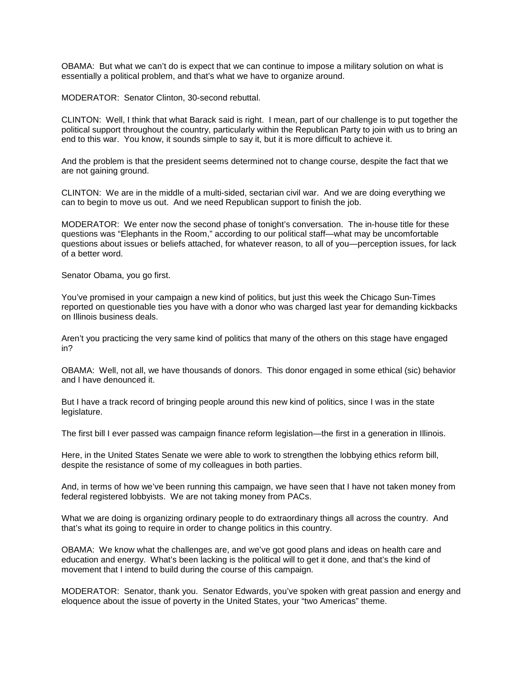OBAMA: But what we can't do is expect that we can continue to impose a military solution on what is essentially a political problem, and that's what we have to organize around.

MODERATOR: Senator Clinton, 30-second rebuttal.

CLINTON: Well, I think that what Barack said is right. I mean, part of our challenge is to put together the political support throughout the country, particularly within the Republican Party to join with us to bring an end to this war. You know, it sounds simple to say it, but it is more difficult to achieve it.

And the problem is that the president seems determined not to change course, despite the fact that we are not gaining ground.

CLINTON: We are in the middle of a multi-sided, sectarian civil war. And we are doing everything we can to begin to move us out. And we need Republican support to finish the job.

MODERATOR: We enter now the second phase of tonight's conversation. The in-house title for these questions was "Elephants in the Room," according to our political staff—what may be uncomfortable questions about issues or beliefs attached, for whatever reason, to all of you—perception issues, for lack of a better word.

Senator Obama, you go first.

You've promised in your campaign a new kind of politics, but just this week the Chicago Sun-Times reported on questionable ties you have with a donor who was charged last year for demanding kickbacks on Illinois business deals.

Aren't you practicing the very same kind of politics that many of the others on this stage have engaged in?

OBAMA: Well, not all, we have thousands of donors. This donor engaged in some ethical (sic) behavior and I have denounced it.

But I have a track record of bringing people around this new kind of politics, since I was in the state legislature.

The first bill I ever passed was campaign finance reform legislation—the first in a generation in Illinois.

Here, in the United States Senate we were able to work to strengthen the lobbying ethics reform bill, despite the resistance of some of my colleagues in both parties.

And, in terms of how we've been running this campaign, we have seen that I have not taken money from federal registered lobbyists. We are not taking money from PACs.

What we are doing is organizing ordinary people to do extraordinary things all across the country. And that's what its going to require in order to change politics in this country.

OBAMA: We know what the challenges are, and we've got good plans and ideas on health care and education and energy. What's been lacking is the political will to get it done, and that's the kind of movement that I intend to build during the course of this campaign.

MODERATOR: Senator, thank you. Senator Edwards, you've spoken with great passion and energy and eloquence about the issue of poverty in the United States, your "two Americas" theme.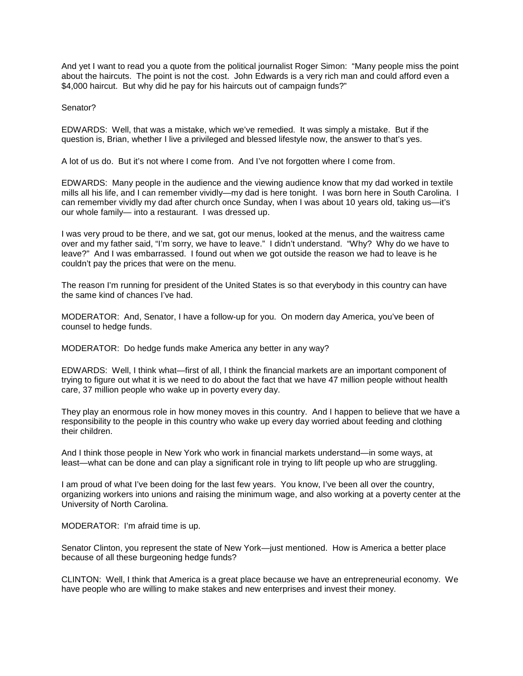And yet I want to read you a quote from the political journalist Roger Simon: "Many people miss the point about the haircuts. The point is not the cost. John Edwards is a very rich man and could afford even a \$4,000 haircut. But why did he pay for his haircuts out of campaign funds?"

Senator?

EDWARDS: Well, that was a mistake, which we've remedied. It was simply a mistake. But if the question is, Brian, whether I live a privileged and blessed lifestyle now, the answer to that's yes.

A lot of us do. But it's not where I come from. And I've not forgotten where I come from.

EDWARDS: Many people in the audience and the viewing audience know that my dad worked in textile mills all his life, and I can remember vividly—my dad is here tonight. I was born here in South Carolina. I can remember vividly my dad after church once Sunday, when I was about 10 years old, taking us—it's our whole family— into a restaurant. I was dressed up.

I was very proud to be there, and we sat, got our menus, looked at the menus, and the waitress came over and my father said, "I'm sorry, we have to leave." I didn't understand. "Why? Why do we have to leave?" And I was embarrassed. I found out when we got outside the reason we had to leave is he couldn't pay the prices that were on the menu.

The reason I'm running for president of the United States is so that everybody in this country can have the same kind of chances I've had.

MODERATOR: And, Senator, I have a follow-up for you. On modern day America, you've been of counsel to hedge funds.

MODERATOR: Do hedge funds make America any better in any way?

EDWARDS: Well, I think what—first of all, I think the financial markets are an important component of trying to figure out what it is we need to do about the fact that we have 47 million people without health care, 37 million people who wake up in poverty every day.

They play an enormous role in how money moves in this country. And I happen to believe that we have a responsibility to the people in this country who wake up every day worried about feeding and clothing their children.

And I think those people in New York who work in financial markets understand—in some ways, at least—what can be done and can play a significant role in trying to lift people up who are struggling.

I am proud of what I've been doing for the last few years. You know, I've been all over the country, organizing workers into unions and raising the minimum wage, and also working at a poverty center at the University of North Carolina.

MODERATOR: I'm afraid time is up.

Senator Clinton, you represent the state of New York—just mentioned. How is America a better place because of all these burgeoning hedge funds?

CLINTON: Well, I think that America is a great place because we have an entrepreneurial economy. We have people who are willing to make stakes and new enterprises and invest their money.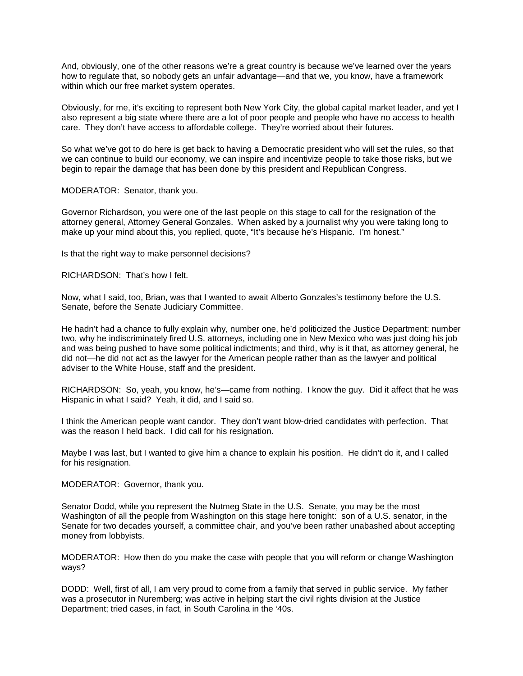And, obviously, one of the other reasons we're a great country is because we've learned over the years how to regulate that, so nobody gets an unfair advantage—and that we, you know, have a framework within which our free market system operates.

Obviously, for me, it's exciting to represent both New York City, the global capital market leader, and yet I also represent a big state where there are a lot of poor people and people who have no access to health care. They don't have access to affordable college. They're worried about their futures.

So what we've got to do here is get back to having a Democratic president who will set the rules, so that we can continue to build our economy, we can inspire and incentivize people to take those risks, but we begin to repair the damage that has been done by this president and Republican Congress.

MODERATOR: Senator, thank you.

Governor Richardson, you were one of the last people on this stage to call for the resignation of the attorney general, Attorney General Gonzales. When asked by a journalist why you were taking long to make up your mind about this, you replied, quote, "It's because he's Hispanic. I'm honest."

Is that the right way to make personnel decisions?

RICHARDSON: That's how I felt.

Now, what I said, too, Brian, was that I wanted to await Alberto Gonzales's testimony before the U.S. Senate, before the Senate Judiciary Committee.

He hadn't had a chance to fully explain why, number one, he'd politicized the Justice Department; number two, why he indiscriminately fired U.S. attorneys, including one in New Mexico who was just doing his job and was being pushed to have some political indictments; and third, why is it that, as attorney general, he did not—he did not act as the lawyer for the American people rather than as the lawyer and political adviser to the White House, staff and the president.

RICHARDSON: So, yeah, you know, he's—came from nothing. I know the guy. Did it affect that he was Hispanic in what I said? Yeah, it did, and I said so.

I think the American people want candor. They don't want blow-dried candidates with perfection. That was the reason I held back. I did call for his resignation.

Maybe I was last, but I wanted to give him a chance to explain his position. He didn't do it, and I called for his resignation.

MODERATOR: Governor, thank you.

Senator Dodd, while you represent the Nutmeg State in the U.S. Senate, you may be the most Washington of all the people from Washington on this stage here tonight: son of a U.S. senator, in the Senate for two decades yourself, a committee chair, and you've been rather unabashed about accepting money from lobbyists.

MODERATOR: How then do you make the case with people that you will reform or change Washington ways?

DODD: Well, first of all, I am very proud to come from a family that served in public service. My father was a prosecutor in Nuremberg; was active in helping start the civil rights division at the Justice Department; tried cases, in fact, in South Carolina in the '40s.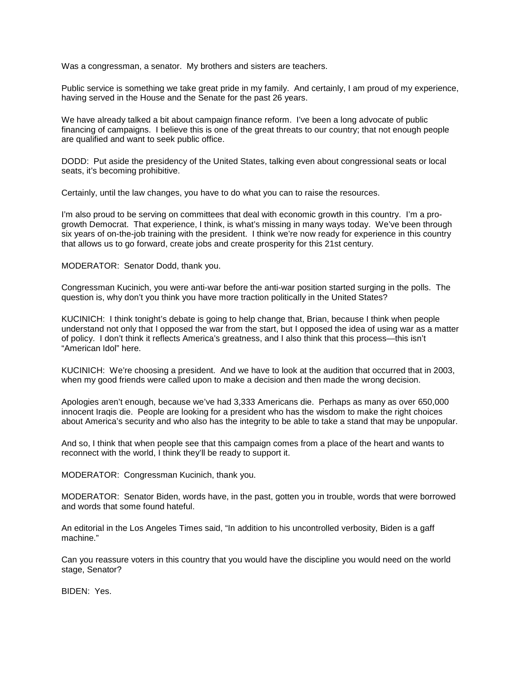Was a congressman, a senator. My brothers and sisters are teachers.

Public service is something we take great pride in my family. And certainly, I am proud of my experience, having served in the House and the Senate for the past 26 years.

We have already talked a bit about campaign finance reform. I've been a long advocate of public financing of campaigns. I believe this is one of the great threats to our country; that not enough people are qualified and want to seek public office.

DODD: Put aside the presidency of the United States, talking even about congressional seats or local seats, it's becoming prohibitive.

Certainly, until the law changes, you have to do what you can to raise the resources.

I'm also proud to be serving on committees that deal with economic growth in this country. I'm a progrowth Democrat. That experience, I think, is what's missing in many ways today. We've been through six years of on-the-job training with the president. I think we're now ready for experience in this country that allows us to go forward, create jobs and create prosperity for this 21st century.

MODERATOR: Senator Dodd, thank you.

Congressman Kucinich, you were anti-war before the anti-war position started surging in the polls. The question is, why don't you think you have more traction politically in the United States?

KUCINICH: I think tonight's debate is going to help change that, Brian, because I think when people understand not only that I opposed the war from the start, but I opposed the idea of using war as a matter of policy. I don't think it reflects America's greatness, and I also think that this process—this isn't "American Idol" here.

KUCINICH: We're choosing a president. And we have to look at the audition that occurred that in 2003, when my good friends were called upon to make a decision and then made the wrong decision.

Apologies aren't enough, because we've had 3,333 Americans die. Perhaps as many as over 650,000 innocent Iraqis die. People are looking for a president who has the wisdom to make the right choices about America's security and who also has the integrity to be able to take a stand that may be unpopular.

And so, I think that when people see that this campaign comes from a place of the heart and wants to reconnect with the world, I think they'll be ready to support it.

MODERATOR: Congressman Kucinich, thank you.

MODERATOR: Senator Biden, words have, in the past, gotten you in trouble, words that were borrowed and words that some found hateful.

An editorial in the Los Angeles Times said, "In addition to his uncontrolled verbosity, Biden is a gaff machine."

Can you reassure voters in this country that you would have the discipline you would need on the world stage, Senator?

BIDEN: Yes.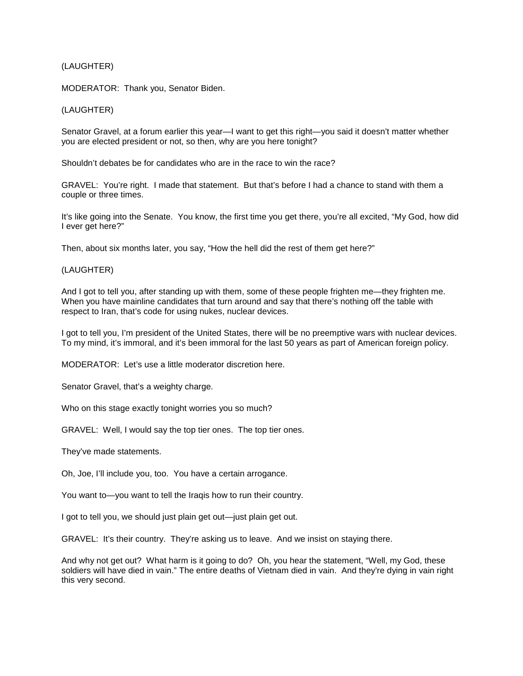# (LAUGHTER)

MODERATOR: Thank you, Senator Biden.

# (LAUGHTER)

Senator Gravel, at a forum earlier this year—I want to get this right—you said it doesn't matter whether you are elected president or not, so then, why are you here tonight?

Shouldn't debates be for candidates who are in the race to win the race?

GRAVEL: You're right. I made that statement. But that's before I had a chance to stand with them a couple or three times.

It's like going into the Senate. You know, the first time you get there, you're all excited, "My God, how did I ever get here?"

Then, about six months later, you say, "How the hell did the rest of them get here?"

## (LAUGHTER)

And I got to tell you, after standing up with them, some of these people frighten me—they frighten me. When you have mainline candidates that turn around and say that there's nothing off the table with respect to Iran, that's code for using nukes, nuclear devices.

I got to tell you, I'm president of the United States, there will be no preemptive wars with nuclear devices. To my mind, it's immoral, and it's been immoral for the last 50 years as part of American foreign policy.

MODERATOR: Let's use a little moderator discretion here.

Senator Gravel, that's a weighty charge.

Who on this stage exactly tonight worries you so much?

GRAVEL: Well, I would say the top tier ones. The top tier ones.

They've made statements.

Oh, Joe, I'll include you, too. You have a certain arrogance.

You want to—you want to tell the Iraqis how to run their country.

I got to tell you, we should just plain get out—just plain get out.

GRAVEL: It's their country. They're asking us to leave. And we insist on staying there.

And why not get out? What harm is it going to do? Oh, you hear the statement, "Well, my God, these soldiers will have died in vain." The entire deaths of Vietnam died in vain. And they're dying in vain right this very second.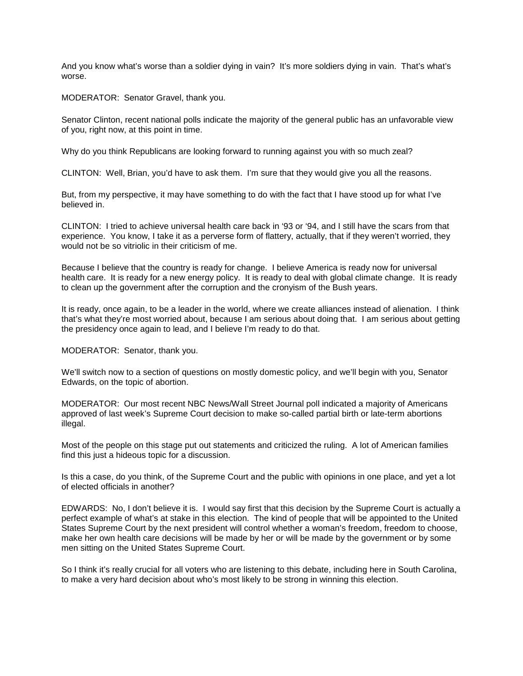And you know what's worse than a soldier dying in vain? It's more soldiers dying in vain. That's what's worse.

MODERATOR: Senator Gravel, thank you.

Senator Clinton, recent national polls indicate the majority of the general public has an unfavorable view of you, right now, at this point in time.

Why do you think Republicans are looking forward to running against you with so much zeal?

CLINTON: Well, Brian, you'd have to ask them. I'm sure that they would give you all the reasons.

But, from my perspective, it may have something to do with the fact that I have stood up for what I've believed in.

CLINTON: I tried to achieve universal health care back in '93 or '94, and I still have the scars from that experience. You know, I take it as a perverse form of flattery, actually, that if they weren't worried, they would not be so vitriolic in their criticism of me.

Because I believe that the country is ready for change. I believe America is ready now for universal health care. It is ready for a new energy policy. It is ready to deal with global climate change. It is ready to clean up the government after the corruption and the cronyism of the Bush years.

It is ready, once again, to be a leader in the world, where we create alliances instead of alienation. I think that's what they're most worried about, because I am serious about doing that. I am serious about getting the presidency once again to lead, and I believe I'm ready to do that.

MODERATOR: Senator, thank you.

We'll switch now to a section of questions on mostly domestic policy, and we'll begin with you, Senator Edwards, on the topic of abortion.

MODERATOR: Our most recent NBC News/Wall Street Journal poll indicated a majority of Americans approved of last week's Supreme Court decision to make so-called partial birth or late-term abortions illegal.

Most of the people on this stage put out statements and criticized the ruling. A lot of American families find this just a hideous topic for a discussion.

Is this a case, do you think, of the Supreme Court and the public with opinions in one place, and yet a lot of elected officials in another?

EDWARDS: No, I don't believe it is. I would say first that this decision by the Supreme Court is actually a perfect example of what's at stake in this election. The kind of people that will be appointed to the United States Supreme Court by the next president will control whether a woman's freedom, freedom to choose, make her own health care decisions will be made by her or will be made by the government or by some men sitting on the United States Supreme Court.

So I think it's really crucial for all voters who are listening to this debate, including here in South Carolina, to make a very hard decision about who's most likely to be strong in winning this election.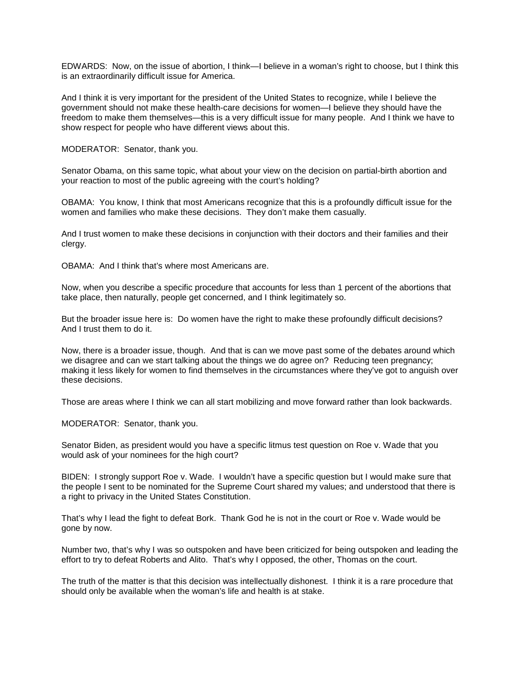EDWARDS: Now, on the issue of abortion, I think—I believe in a woman's right to choose, but I think this is an extraordinarily difficult issue for America.

And I think it is very important for the president of the United States to recognize, while I believe the government should not make these health-care decisions for women—I believe they should have the freedom to make them themselves—this is a very difficult issue for many people. And I think we have to show respect for people who have different views about this.

MODERATOR: Senator, thank you.

Senator Obama, on this same topic, what about your view on the decision on partial-birth abortion and your reaction to most of the public agreeing with the court's holding?

OBAMA: You know, I think that most Americans recognize that this is a profoundly difficult issue for the women and families who make these decisions. They don't make them casually.

And I trust women to make these decisions in conjunction with their doctors and their families and their clergy.

OBAMA: And I think that's where most Americans are.

Now, when you describe a specific procedure that accounts for less than 1 percent of the abortions that take place, then naturally, people get concerned, and I think legitimately so.

But the broader issue here is: Do women have the right to make these profoundly difficult decisions? And I trust them to do it.

Now, there is a broader issue, though. And that is can we move past some of the debates around which we disagree and can we start talking about the things we do agree on? Reducing teen pregnancy; making it less likely for women to find themselves in the circumstances where they've got to anguish over these decisions.

Those are areas where I think we can all start mobilizing and move forward rather than look backwards.

MODERATOR: Senator, thank you.

Senator Biden, as president would you have a specific litmus test question on Roe v. Wade that you would ask of your nominees for the high court?

BIDEN: I strongly support Roe v. Wade. I wouldn't have a specific question but I would make sure that the people I sent to be nominated for the Supreme Court shared my values; and understood that there is a right to privacy in the United States Constitution.

That's why I lead the fight to defeat Bork. Thank God he is not in the court or Roe v. Wade would be gone by now.

Number two, that's why I was so outspoken and have been criticized for being outspoken and leading the effort to try to defeat Roberts and Alito. That's why I opposed, the other, Thomas on the court.

The truth of the matter is that this decision was intellectually dishonest. I think it is a rare procedure that should only be available when the woman's life and health is at stake.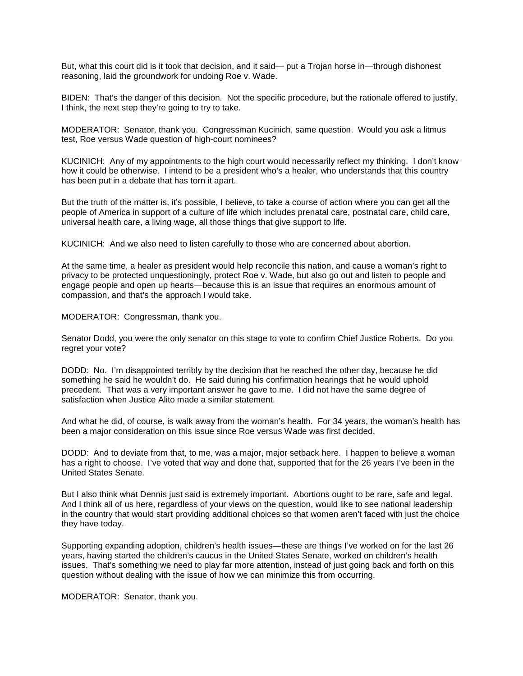But, what this court did is it took that decision, and it said— put a Trojan horse in—through dishonest reasoning, laid the groundwork for undoing Roe v. Wade.

BIDEN: That's the danger of this decision. Not the specific procedure, but the rationale offered to justify, I think, the next step they're going to try to take.

MODERATOR: Senator, thank you. Congressman Kucinich, same question. Would you ask a litmus test, Roe versus Wade question of high-court nominees?

KUCINICH: Any of my appointments to the high court would necessarily reflect my thinking. I don't know how it could be otherwise. I intend to be a president who's a healer, who understands that this country has been put in a debate that has torn it apart.

But the truth of the matter is, it's possible, I believe, to take a course of action where you can get all the people of America in support of a culture of life which includes prenatal care, postnatal care, child care, universal health care, a living wage, all those things that give support to life.

KUCINICH: And we also need to listen carefully to those who are concerned about abortion.

At the same time, a healer as president would help reconcile this nation, and cause a woman's right to privacy to be protected unquestioningly, protect Roe v. Wade, but also go out and listen to people and engage people and open up hearts—because this is an issue that requires an enormous amount of compassion, and that's the approach I would take.

MODERATOR: Congressman, thank you.

Senator Dodd, you were the only senator on this stage to vote to confirm Chief Justice Roberts. Do you regret your vote?

DODD: No. I'm disappointed terribly by the decision that he reached the other day, because he did something he said he wouldn't do. He said during his confirmation hearings that he would uphold precedent. That was a very important answer he gave to me. I did not have the same degree of satisfaction when Justice Alito made a similar statement.

And what he did, of course, is walk away from the woman's health. For 34 years, the woman's health has been a major consideration on this issue since Roe versus Wade was first decided.

DODD: And to deviate from that, to me, was a major, major setback here. I happen to believe a woman has a right to choose. I've voted that way and done that, supported that for the 26 years I've been in the United States Senate.

But I also think what Dennis just said is extremely important. Abortions ought to be rare, safe and legal. And I think all of us here, regardless of your views on the question, would like to see national leadership in the country that would start providing additional choices so that women aren't faced with just the choice they have today.

Supporting expanding adoption, children's health issues—these are things I've worked on for the last 26 years, having started the children's caucus in the United States Senate, worked on children's health issues. That's something we need to play far more attention, instead of just going back and forth on this question without dealing with the issue of how we can minimize this from occurring.

MODERATOR: Senator, thank you.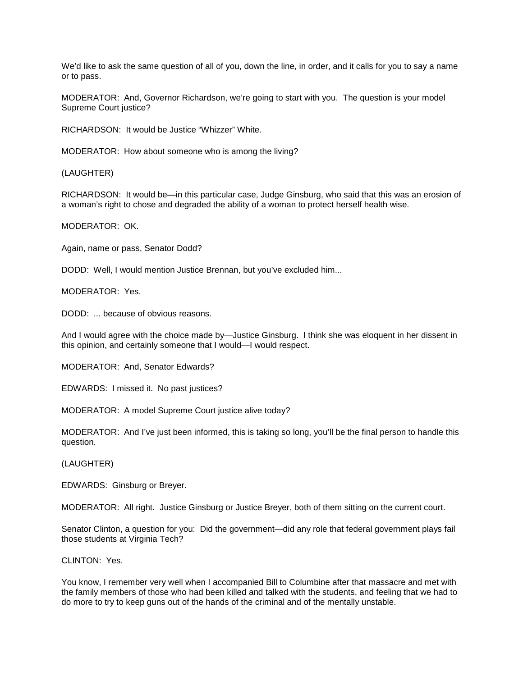We'd like to ask the same question of all of you, down the line, in order, and it calls for you to say a name or to pass.

MODERATOR: And, Governor Richardson, we're going to start with you. The question is your model Supreme Court justice?

RICHARDSON: It would be Justice "Whizzer" White.

MODERATOR: How about someone who is among the living?

(LAUGHTER)

RICHARDSON: It would be—in this particular case, Judge Ginsburg, who said that this was an erosion of a woman's right to chose and degraded the ability of a woman to protect herself health wise.

MODERATOR: OK.

Again, name or pass, Senator Dodd?

DODD: Well, I would mention Justice Brennan, but you've excluded him...

MODERATOR: Yes.

DODD: ... because of obvious reasons.

And I would agree with the choice made by—Justice Ginsburg. I think she was eloquent in her dissent in this opinion, and certainly someone that I would—I would respect.

MODERATOR: And, Senator Edwards?

EDWARDS: I missed it. No past justices?

MODERATOR: A model Supreme Court justice alive today?

MODERATOR: And I've just been informed, this is taking so long, you'll be the final person to handle this question.

(LAUGHTER)

EDWARDS: Ginsburg or Breyer.

MODERATOR: All right. Justice Ginsburg or Justice Breyer, both of them sitting on the current court.

Senator Clinton, a question for you: Did the government—did any role that federal government plays fail those students at Virginia Tech?

CLINTON: Yes.

You know, I remember very well when I accompanied Bill to Columbine after that massacre and met with the family members of those who had been killed and talked with the students, and feeling that we had to do more to try to keep guns out of the hands of the criminal and of the mentally unstable.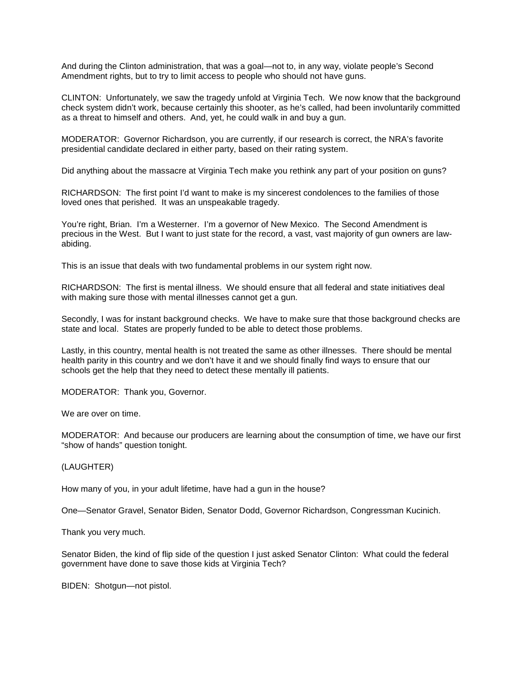And during the Clinton administration, that was a goal—not to, in any way, violate people's Second Amendment rights, but to try to limit access to people who should not have guns.

CLINTON: Unfortunately, we saw the tragedy unfold at Virginia Tech. We now know that the background check system didn't work, because certainly this shooter, as he's called, had been involuntarily committed as a threat to himself and others. And, yet, he could walk in and buy a gun.

MODERATOR: Governor Richardson, you are currently, if our research is correct, the NRA's favorite presidential candidate declared in either party, based on their rating system.

Did anything about the massacre at Virginia Tech make you rethink any part of your position on guns?

RICHARDSON: The first point I'd want to make is my sincerest condolences to the families of those loved ones that perished. It was an unspeakable tragedy.

You're right, Brian. I'm a Westerner. I'm a governor of New Mexico. The Second Amendment is precious in the West. But I want to just state for the record, a vast, vast majority of gun owners are lawabiding.

This is an issue that deals with two fundamental problems in our system right now.

RICHARDSON: The first is mental illness. We should ensure that all federal and state initiatives deal with making sure those with mental illnesses cannot get a gun.

Secondly, I was for instant background checks. We have to make sure that those background checks are state and local. States are properly funded to be able to detect those problems.

Lastly, in this country, mental health is not treated the same as other illnesses. There should be mental health parity in this country and we don't have it and we should finally find ways to ensure that our schools get the help that they need to detect these mentally ill patients.

MODERATOR: Thank you, Governor.

We are over on time.

MODERATOR: And because our producers are learning about the consumption of time, we have our first "show of hands" question tonight.

## (LAUGHTER)

How many of you, in your adult lifetime, have had a gun in the house?

One—Senator Gravel, Senator Biden, Senator Dodd, Governor Richardson, Congressman Kucinich.

Thank you very much.

Senator Biden, the kind of flip side of the question I just asked Senator Clinton: What could the federal government have done to save those kids at Virginia Tech?

BIDEN: Shotgun—not pistol.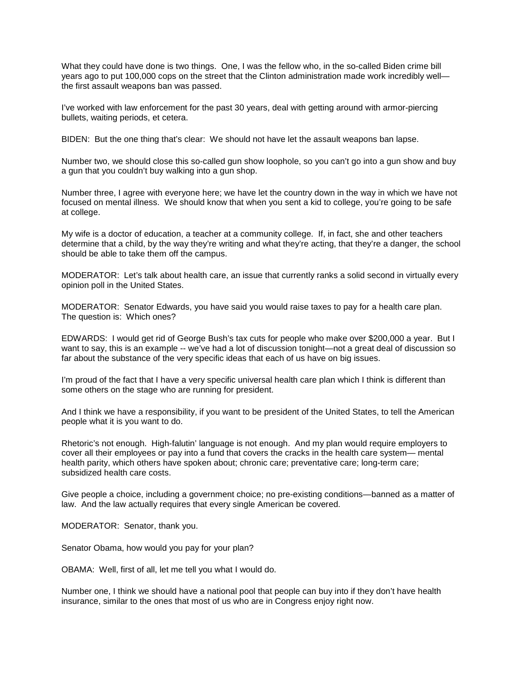What they could have done is two things. One, I was the fellow who, in the so-called Biden crime bill years ago to put 100,000 cops on the street that the Clinton administration made work incredibly well the first assault weapons ban was passed.

I've worked with law enforcement for the past 30 years, deal with getting around with armor-piercing bullets, waiting periods, et cetera.

BIDEN: But the one thing that's clear: We should not have let the assault weapons ban lapse.

Number two, we should close this so-called gun show loophole, so you can't go into a gun show and buy a gun that you couldn't buy walking into a gun shop.

Number three, I agree with everyone here; we have let the country down in the way in which we have not focused on mental illness. We should know that when you sent a kid to college, you're going to be safe at college.

My wife is a doctor of education, a teacher at a community college. If, in fact, she and other teachers determine that a child, by the way they're writing and what they're acting, that they're a danger, the school should be able to take them off the campus.

MODERATOR: Let's talk about health care, an issue that currently ranks a solid second in virtually every opinion poll in the United States.

MODERATOR: Senator Edwards, you have said you would raise taxes to pay for a health care plan. The question is: Which ones?

EDWARDS: I would get rid of George Bush's tax cuts for people who make over \$200,000 a year. But I want to say, this is an example -- we've had a lot of discussion tonight—not a great deal of discussion so far about the substance of the very specific ideas that each of us have on big issues.

I'm proud of the fact that I have a very specific universal health care plan which I think is different than some others on the stage who are running for president.

And I think we have a responsibility, if you want to be president of the United States, to tell the American people what it is you want to do.

Rhetoric's not enough. High-falutin' language is not enough. And my plan would require employers to cover all their employees or pay into a fund that covers the cracks in the health care system— mental health parity, which others have spoken about; chronic care; preventative care; long-term care; subsidized health care costs.

Give people a choice, including a government choice; no pre-existing conditions—banned as a matter of law. And the law actually requires that every single American be covered.

MODERATOR: Senator, thank you.

Senator Obama, how would you pay for your plan?

OBAMA: Well, first of all, let me tell you what I would do.

Number one, I think we should have a national pool that people can buy into if they don't have health insurance, similar to the ones that most of us who are in Congress enjoy right now.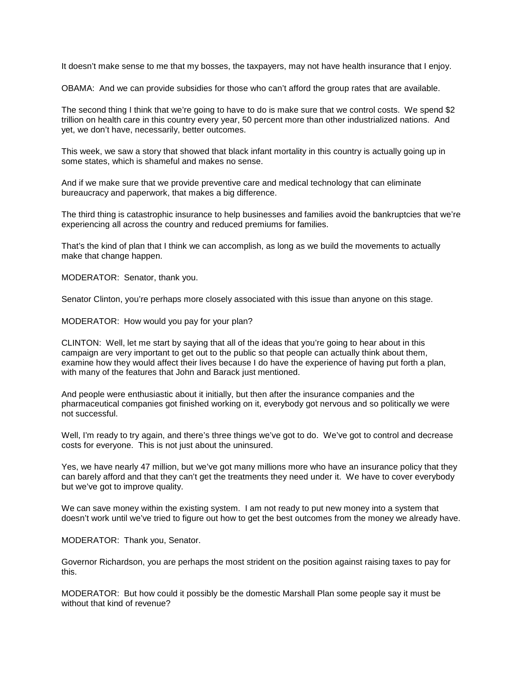It doesn't make sense to me that my bosses, the taxpayers, may not have health insurance that I enjoy.

OBAMA: And we can provide subsidies for those who can't afford the group rates that are available.

The second thing I think that we're going to have to do is make sure that we control costs. We spend \$2 trillion on health care in this country every year, 50 percent more than other industrialized nations. And yet, we don't have, necessarily, better outcomes.

This week, we saw a story that showed that black infant mortality in this country is actually going up in some states, which is shameful and makes no sense.

And if we make sure that we provide preventive care and medical technology that can eliminate bureaucracy and paperwork, that makes a big difference.

The third thing is catastrophic insurance to help businesses and families avoid the bankruptcies that we're experiencing all across the country and reduced premiums for families.

That's the kind of plan that I think we can accomplish, as long as we build the movements to actually make that change happen.

MODERATOR: Senator, thank you.

Senator Clinton, you're perhaps more closely associated with this issue than anyone on this stage.

MODERATOR: How would you pay for your plan?

CLINTON: Well, let me start by saying that all of the ideas that you're going to hear about in this campaign are very important to get out to the public so that people can actually think about them, examine how they would affect their lives because I do have the experience of having put forth a plan, with many of the features that John and Barack just mentioned.

And people were enthusiastic about it initially, but then after the insurance companies and the pharmaceutical companies got finished working on it, everybody got nervous and so politically we were not successful.

Well, I'm ready to try again, and there's three things we've got to do. We've got to control and decrease costs for everyone. This is not just about the uninsured.

Yes, we have nearly 47 million, but we've got many millions more who have an insurance policy that they can barely afford and that they can't get the treatments they need under it. We have to cover everybody but we've got to improve quality.

We can save money within the existing system. I am not ready to put new money into a system that doesn't work until we've tried to figure out how to get the best outcomes from the money we already have.

MODERATOR: Thank you, Senator.

Governor Richardson, you are perhaps the most strident on the position against raising taxes to pay for this.

MODERATOR: But how could it possibly be the domestic Marshall Plan some people say it must be without that kind of revenue?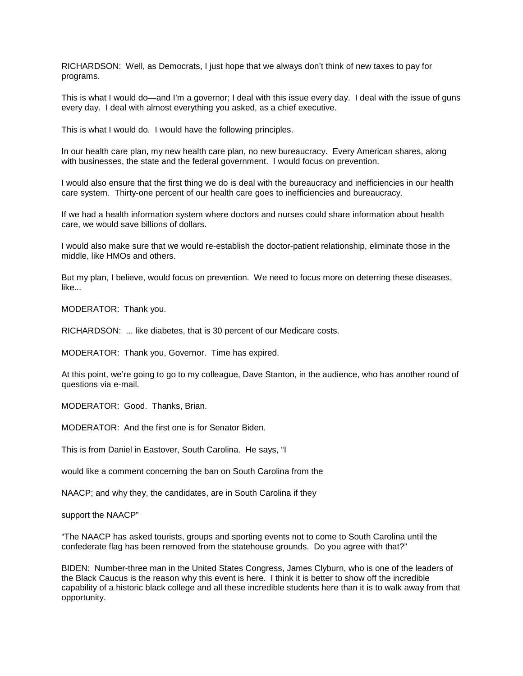RICHARDSON: Well, as Democrats, I just hope that we always don't think of new taxes to pay for programs.

This is what I would do—and I'm a governor; I deal with this issue every day. I deal with the issue of guns every day. I deal with almost everything you asked, as a chief executive.

This is what I would do. I would have the following principles.

In our health care plan, my new health care plan, no new bureaucracy. Every American shares, along with businesses, the state and the federal government. I would focus on prevention.

I would also ensure that the first thing we do is deal with the bureaucracy and inefficiencies in our health care system. Thirty-one percent of our health care goes to inefficiencies and bureaucracy.

If we had a health information system where doctors and nurses could share information about health care, we would save billions of dollars.

I would also make sure that we would re-establish the doctor-patient relationship, eliminate those in the middle, like HMOs and others.

But my plan, I believe, would focus on prevention. We need to focus more on deterring these diseases, like...

MODERATOR: Thank you.

RICHARDSON: ... like diabetes, that is 30 percent of our Medicare costs.

MODERATOR: Thank you, Governor. Time has expired.

At this point, we're going to go to my colleague, Dave Stanton, in the audience, who has another round of questions via e-mail.

MODERATOR: Good. Thanks, Brian.

MODERATOR: And the first one is for Senator Biden.

This is from Daniel in Eastover, South Carolina. He says, "I

would like a comment concerning the ban on South Carolina from the

NAACP; and why they, the candidates, are in South Carolina if they

support the NAACP"

"The NAACP has asked tourists, groups and sporting events not to come to South Carolina until the confederate flag has been removed from the statehouse grounds. Do you agree with that?"

BIDEN: Number-three man in the United States Congress, James Clyburn, who is one of the leaders of the Black Caucus is the reason why this event is here. I think it is better to show off the incredible capability of a historic black college and all these incredible students here than it is to walk away from that opportunity.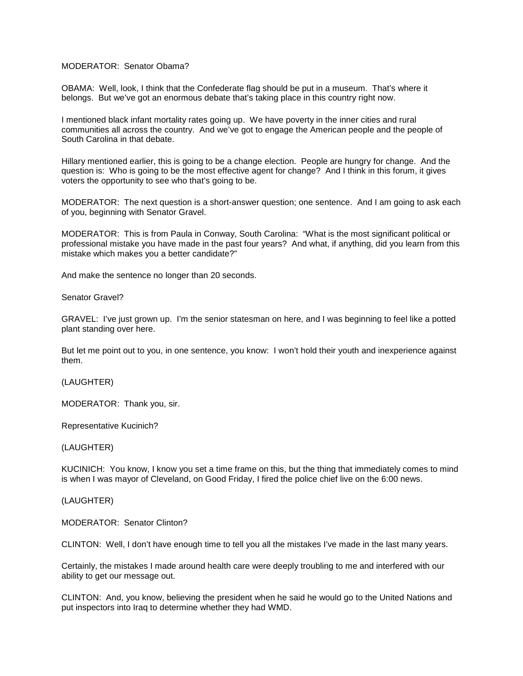## MODERATOR: Senator Obama?

OBAMA: Well, look, I think that the Confederate flag should be put in a museum. That's where it belongs. But we've got an enormous debate that's taking place in this country right now.

I mentioned black infant mortality rates going up. We have poverty in the inner cities and rural communities all across the country. And we've got to engage the American people and the people of South Carolina in that debate.

Hillary mentioned earlier, this is going to be a change election. People are hungry for change. And the question is: Who is going to be the most effective agent for change? And I think in this forum, it gives voters the opportunity to see who that's going to be.

MODERATOR: The next question is a short-answer question; one sentence. And I am going to ask each of you, beginning with Senator Gravel.

MODERATOR: This is from Paula in Conway, South Carolina: "What is the most significant political or professional mistake you have made in the past four years? And what, if anything, did you learn from this mistake which makes you a better candidate?"

And make the sentence no longer than 20 seconds.

Senator Gravel?

GRAVEL: I've just grown up. I'm the senior statesman on here, and I was beginning to feel like a potted plant standing over here.

But let me point out to you, in one sentence, you know: I won't hold their youth and inexperience against them.

(LAUGHTER)

MODERATOR: Thank you, sir.

Representative Kucinich?

#### (LAUGHTER)

KUCINICH: You know, I know you set a time frame on this, but the thing that immediately comes to mind is when I was mayor of Cleveland, on Good Friday, I fired the police chief live on the 6:00 news.

(LAUGHTER)

MODERATOR: Senator Clinton?

CLINTON: Well, I don't have enough time to tell you all the mistakes I've made in the last many years.

Certainly, the mistakes I made around health care were deeply troubling to me and interfered with our ability to get our message out.

CLINTON: And, you know, believing the president when he said he would go to the United Nations and put inspectors into Iraq to determine whether they had WMD.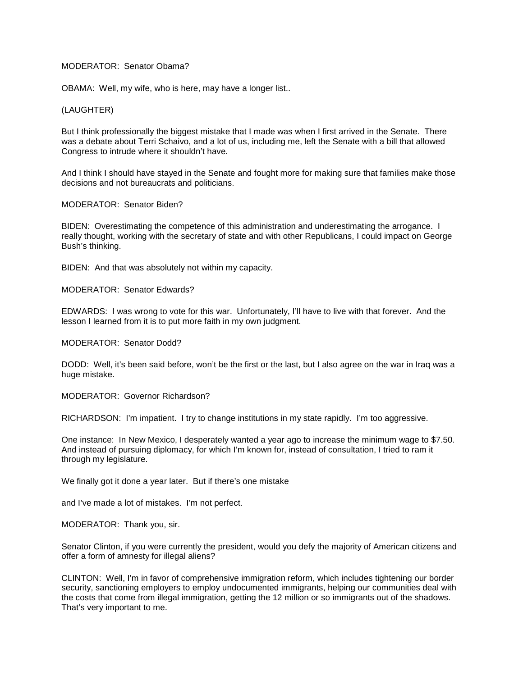## MODERATOR: Senator Obama?

OBAMA: Well, my wife, who is here, may have a longer list..

#### (LAUGHTER)

But I think professionally the biggest mistake that I made was when I first arrived in the Senate. There was a debate about Terri Schaivo, and a lot of us, including me, left the Senate with a bill that allowed Congress to intrude where it shouldn't have.

And I think I should have stayed in the Senate and fought more for making sure that families make those decisions and not bureaucrats and politicians.

## MODERATOR: Senator Biden?

BIDEN: Overestimating the competence of this administration and underestimating the arrogance. I really thought, working with the secretary of state and with other Republicans, I could impact on George Bush's thinking.

BIDEN: And that was absolutely not within my capacity.

MODERATOR: Senator Edwards?

EDWARDS: I was wrong to vote for this war. Unfortunately, I'll have to live with that forever. And the lesson I learned from it is to put more faith in my own judgment.

MODERATOR: Senator Dodd?

DODD: Well, it's been said before, won't be the first or the last, but I also agree on the war in Iraq was a huge mistake.

MODERATOR: Governor Richardson?

RICHARDSON: I'm impatient. I try to change institutions in my state rapidly. I'm too aggressive.

One instance: In New Mexico, I desperately wanted a year ago to increase the minimum wage to \$7.50. And instead of pursuing diplomacy, for which I'm known for, instead of consultation, I tried to ram it through my legislature.

We finally got it done a year later. But if there's one mistake

and I've made a lot of mistakes. I'm not perfect.

MODERATOR: Thank you, sir.

Senator Clinton, if you were currently the president, would you defy the majority of American citizens and offer a form of amnesty for illegal aliens?

CLINTON: Well, I'm in favor of comprehensive immigration reform, which includes tightening our border security, sanctioning employers to employ undocumented immigrants, helping our communities deal with the costs that come from illegal immigration, getting the 12 million or so immigrants out of the shadows. That's very important to me.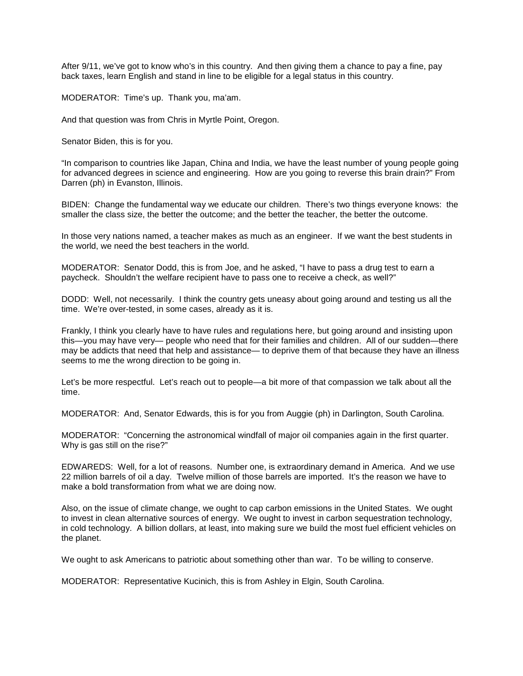After 9/11, we've got to know who's in this country. And then giving them a chance to pay a fine, pay back taxes, learn English and stand in line to be eligible for a legal status in this country.

MODERATOR: Time's up. Thank you, ma'am.

And that question was from Chris in Myrtle Point, Oregon.

Senator Biden, this is for you.

"In comparison to countries like Japan, China and India, we have the least number of young people going for advanced degrees in science and engineering. How are you going to reverse this brain drain?" From Darren (ph) in Evanston, Illinois.

BIDEN: Change the fundamental way we educate our children. There's two things everyone knows: the smaller the class size, the better the outcome; and the better the teacher, the better the outcome.

In those very nations named, a teacher makes as much as an engineer. If we want the best students in the world, we need the best teachers in the world.

MODERATOR: Senator Dodd, this is from Joe, and he asked, "I have to pass a drug test to earn a paycheck. Shouldn't the welfare recipient have to pass one to receive a check, as well?"

DODD: Well, not necessarily. I think the country gets uneasy about going around and testing us all the time. We're over-tested, in some cases, already as it is.

Frankly, I think you clearly have to have rules and regulations here, but going around and insisting upon this—you may have very— people who need that for their families and children. All of our sudden—there may be addicts that need that help and assistance— to deprive them of that because they have an illness seems to me the wrong direction to be going in.

Let's be more respectful. Let's reach out to people—a bit more of that compassion we talk about all the time.

MODERATOR: And, Senator Edwards, this is for you from Auggie (ph) in Darlington, South Carolina.

MODERATOR: "Concerning the astronomical windfall of major oil companies again in the first quarter. Why is gas still on the rise?"

EDWAREDS: Well, for a lot of reasons. Number one, is extraordinary demand in America. And we use 22 million barrels of oil a day. Twelve million of those barrels are imported. It's the reason we have to make a bold transformation from what we are doing now.

Also, on the issue of climate change, we ought to cap carbon emissions in the United States. We ought to invest in clean alternative sources of energy. We ought to invest in carbon sequestration technology, in cold technology. A billion dollars, at least, into making sure we build the most fuel efficient vehicles on the planet.

We ought to ask Americans to patriotic about something other than war. To be willing to conserve.

MODERATOR: Representative Kucinich, this is from Ashley in Elgin, South Carolina.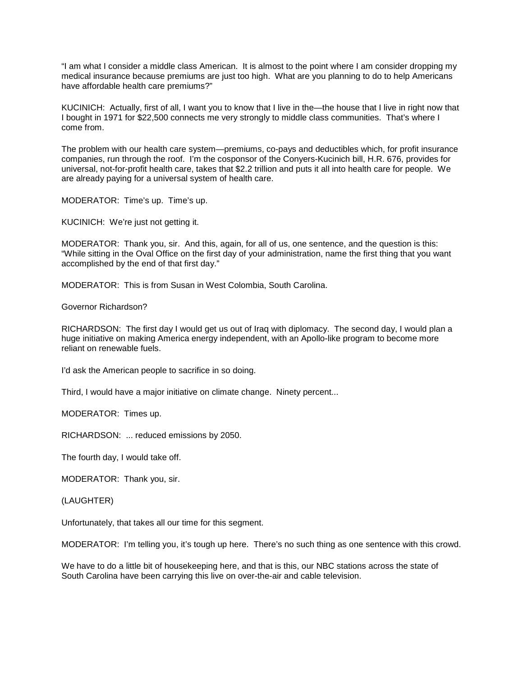"I am what I consider a middle class American. It is almost to the point where I am consider dropping my medical insurance because premiums are just too high. What are you planning to do to help Americans have affordable health care premiums?"

KUCINICH: Actually, first of all, I want you to know that I live in the—the house that I live in right now that I bought in 1971 for \$22,500 connects me very strongly to middle class communities. That's where I come from.

The problem with our health care system—premiums, co-pays and deductibles which, for profit insurance companies, run through the roof. I'm the cosponsor of the Conyers-Kucinich bill, H.R. 676, provides for universal, not-for-profit health care, takes that \$2.2 trillion and puts it all into health care for people. We are already paying for a universal system of health care.

MODERATOR: Time's up. Time's up.

KUCINICH: We're just not getting it.

MODERATOR: Thank you, sir. And this, again, for all of us, one sentence, and the question is this: "While sitting in the Oval Office on the first day of your administration, name the first thing that you want accomplished by the end of that first day."

MODERATOR: This is from Susan in West Colombia, South Carolina.

Governor Richardson?

RICHARDSON: The first day I would get us out of Iraq with diplomacy. The second day, I would plan a huge initiative on making America energy independent, with an Apollo-like program to become more reliant on renewable fuels.

I'd ask the American people to sacrifice in so doing.

Third, I would have a major initiative on climate change. Ninety percent...

MODERATOR: Times up.

RICHARDSON: ... reduced emissions by 2050.

The fourth day, I would take off.

MODERATOR: Thank you, sir.

(LAUGHTER)

Unfortunately, that takes all our time for this segment.

MODERATOR: I'm telling you, it's tough up here. There's no such thing as one sentence with this crowd.

We have to do a little bit of housekeeping here, and that is this, our NBC stations across the state of South Carolina have been carrying this live on over-the-air and cable television.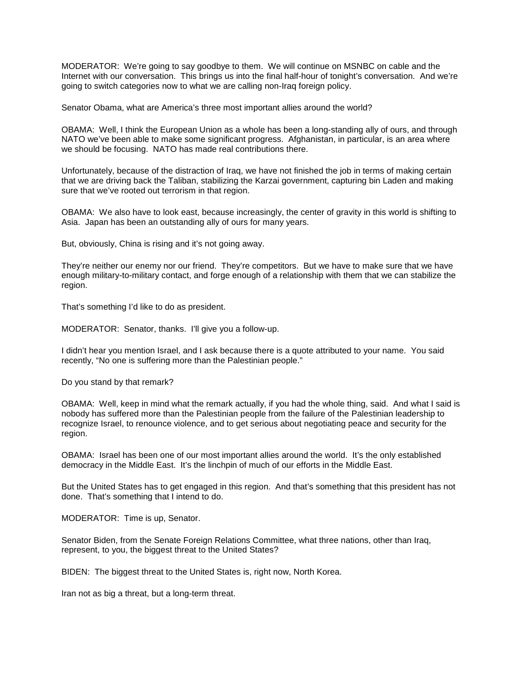MODERATOR: We're going to say goodbye to them. We will continue on MSNBC on cable and the Internet with our conversation. This brings us into the final half-hour of tonight's conversation. And we're going to switch categories now to what we are calling non-Iraq foreign policy.

Senator Obama, what are America's three most important allies around the world?

OBAMA: Well, I think the European Union as a whole has been a long-standing ally of ours, and through NATO we've been able to make some significant progress. Afghanistan, in particular, is an area where we should be focusing. NATO has made real contributions there.

Unfortunately, because of the distraction of Iraq, we have not finished the job in terms of making certain that we are driving back the Taliban, stabilizing the Karzai government, capturing bin Laden and making sure that we've rooted out terrorism in that region.

OBAMA: We also have to look east, because increasingly, the center of gravity in this world is shifting to Asia. Japan has been an outstanding ally of ours for many years.

But, obviously, China is rising and it's not going away.

They're neither our enemy nor our friend. They're competitors. But we have to make sure that we have enough military-to-military contact, and forge enough of a relationship with them that we can stabilize the region.

That's something I'd like to do as president.

MODERATOR: Senator, thanks. I'll give you a follow-up.

I didn't hear you mention Israel, and I ask because there is a quote attributed to your name. You said recently, "No one is suffering more than the Palestinian people."

Do you stand by that remark?

OBAMA: Well, keep in mind what the remark actually, if you had the whole thing, said. And what I said is nobody has suffered more than the Palestinian people from the failure of the Palestinian leadership to recognize Israel, to renounce violence, and to get serious about negotiating peace and security for the region.

OBAMA: Israel has been one of our most important allies around the world. It's the only established democracy in the Middle East. It's the linchpin of much of our efforts in the Middle East.

But the United States has to get engaged in this region. And that's something that this president has not done. That's something that I intend to do.

MODERATOR: Time is up, Senator.

Senator Biden, from the Senate Foreign Relations Committee, what three nations, other than Iraq, represent, to you, the biggest threat to the United States?

BIDEN: The biggest threat to the United States is, right now, North Korea.

Iran not as big a threat, but a long-term threat.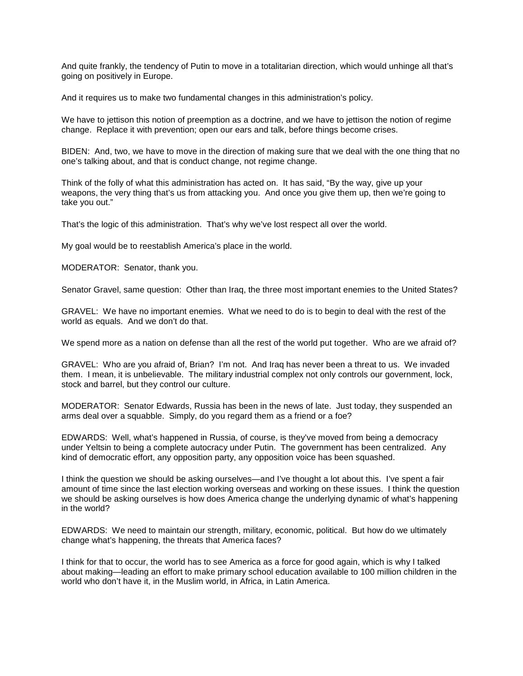And quite frankly, the tendency of Putin to move in a totalitarian direction, which would unhinge all that's going on positively in Europe.

And it requires us to make two fundamental changes in this administration's policy.

We have to jettison this notion of preemption as a doctrine, and we have to jettison the notion of regime change. Replace it with prevention; open our ears and talk, before things become crises.

BIDEN: And, two, we have to move in the direction of making sure that we deal with the one thing that no one's talking about, and that is conduct change, not regime change.

Think of the folly of what this administration has acted on. It has said, "By the way, give up your weapons, the very thing that's us from attacking you. And once you give them up, then we're going to take you out."

That's the logic of this administration. That's why we've lost respect all over the world.

My goal would be to reestablish America's place in the world.

MODERATOR: Senator, thank you.

Senator Gravel, same question: Other than Iraq, the three most important enemies to the United States?

GRAVEL: We have no important enemies. What we need to do is to begin to deal with the rest of the world as equals. And we don't do that.

We spend more as a nation on defense than all the rest of the world put together. Who are we afraid of?

GRAVEL: Who are you afraid of, Brian? I'm not. And Iraq has never been a threat to us. We invaded them. I mean, it is unbelievable. The military industrial complex not only controls our government, lock, stock and barrel, but they control our culture.

MODERATOR: Senator Edwards, Russia has been in the news of late. Just today, they suspended an arms deal over a squabble. Simply, do you regard them as a friend or a foe?

EDWARDS: Well, what's happened in Russia, of course, is they've moved from being a democracy under Yeltsin to being a complete autocracy under Putin. The government has been centralized. Any kind of democratic effort, any opposition party, any opposition voice has been squashed.

I think the question we should be asking ourselves—and I've thought a lot about this. I've spent a fair amount of time since the last election working overseas and working on these issues. I think the question we should be asking ourselves is how does America change the underlying dynamic of what's happening in the world?

EDWARDS: We need to maintain our strength, military, economic, political. But how do we ultimately change what's happening, the threats that America faces?

I think for that to occur, the world has to see America as a force for good again, which is why I talked about making—leading an effort to make primary school education available to 100 million children in the world who don't have it, in the Muslim world, in Africa, in Latin America.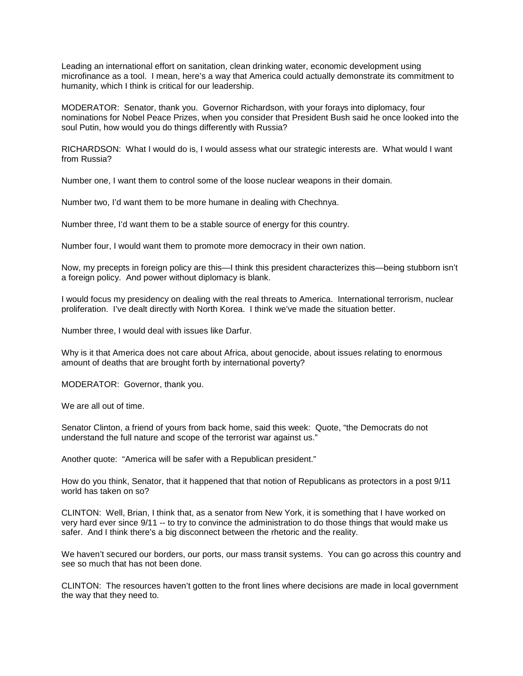Leading an international effort on sanitation, clean drinking water, economic development using microfinance as a tool. I mean, here's a way that America could actually demonstrate its commitment to humanity, which I think is critical for our leadership.

MODERATOR: Senator, thank you. Governor Richardson, with your forays into diplomacy, four nominations for Nobel Peace Prizes, when you consider that President Bush said he once looked into the soul Putin, how would you do things differently with Russia?

RICHARDSON: What I would do is, I would assess what our strategic interests are. What would I want from Russia?

Number one, I want them to control some of the loose nuclear weapons in their domain.

Number two, I'd want them to be more humane in dealing with Chechnya.

Number three, I'd want them to be a stable source of energy for this country.

Number four, I would want them to promote more democracy in their own nation.

Now, my precepts in foreign policy are this—I think this president characterizes this—being stubborn isn't a foreign policy. And power without diplomacy is blank.

I would focus my presidency on dealing with the real threats to America. International terrorism, nuclear proliferation. I've dealt directly with North Korea. I think we've made the situation better.

Number three, I would deal with issues like Darfur.

Why is it that America does not care about Africa, about genocide, about issues relating to enormous amount of deaths that are brought forth by international poverty?

MODERATOR: Governor, thank you.

We are all out of time.

Senator Clinton, a friend of yours from back home, said this week: Quote, "the Democrats do not understand the full nature and scope of the terrorist war against us."

Another quote: "America will be safer with a Republican president."

How do you think, Senator, that it happened that that notion of Republicans as protectors in a post 9/11 world has taken on so?

CLINTON: Well, Brian, I think that, as a senator from New York, it is something that I have worked on very hard ever since 9/11 -- to try to convince the administration to do those things that would make us safer. And I think there's a big disconnect between the rhetoric and the reality.

We haven't secured our borders, our ports, our mass transit systems. You can go across this country and see so much that has not been done.

CLINTON: The resources haven't gotten to the front lines where decisions are made in local government the way that they need to.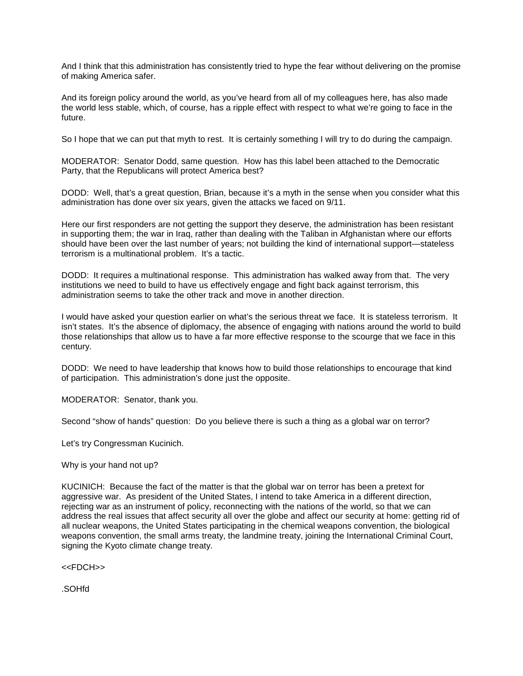And I think that this administration has consistently tried to hype the fear without delivering on the promise of making America safer.

And its foreign policy around the world, as you've heard from all of my colleagues here, has also made the world less stable, which, of course, has a ripple effect with respect to what we're going to face in the future.

So I hope that we can put that myth to rest. It is certainly something I will try to do during the campaign.

MODERATOR: Senator Dodd, same question. How has this label been attached to the Democratic Party, that the Republicans will protect America best?

DODD: Well, that's a great question, Brian, because it's a myth in the sense when you consider what this administration has done over six years, given the attacks we faced on 9/11.

Here our first responders are not getting the support they deserve, the administration has been resistant in supporting them; the war in Iraq, rather than dealing with the Taliban in Afghanistan where our efforts should have been over the last number of years; not building the kind of international support—stateless terrorism is a multinational problem. It's a tactic.

DODD: It requires a multinational response. This administration has walked away from that. The very institutions we need to build to have us effectively engage and fight back against terrorism, this administration seems to take the other track and move in another direction.

I would have asked your question earlier on what's the serious threat we face. It is stateless terrorism. It isn't states. It's the absence of diplomacy, the absence of engaging with nations around the world to build those relationships that allow us to have a far more effective response to the scourge that we face in this century.

DODD: We need to have leadership that knows how to build those relationships to encourage that kind of participation. This administration's done just the opposite.

MODERATOR: Senator, thank you.

Second "show of hands" question: Do you believe there is such a thing as a global war on terror?

Let's try Congressman Kucinich.

Why is your hand not up?

KUCINICH: Because the fact of the matter is that the global war on terror has been a pretext for aggressive war. As president of the United States, I intend to take America in a different direction, rejecting war as an instrument of policy, reconnecting with the nations of the world, so that we can address the real issues that affect security all over the globe and affect our security at home: getting rid of all nuclear weapons, the United States participating in the chemical weapons convention, the biological weapons convention, the small arms treaty, the landmine treaty, joining the International Criminal Court, signing the Kyoto climate change treaty.

<<FDCH>>

.SOHfd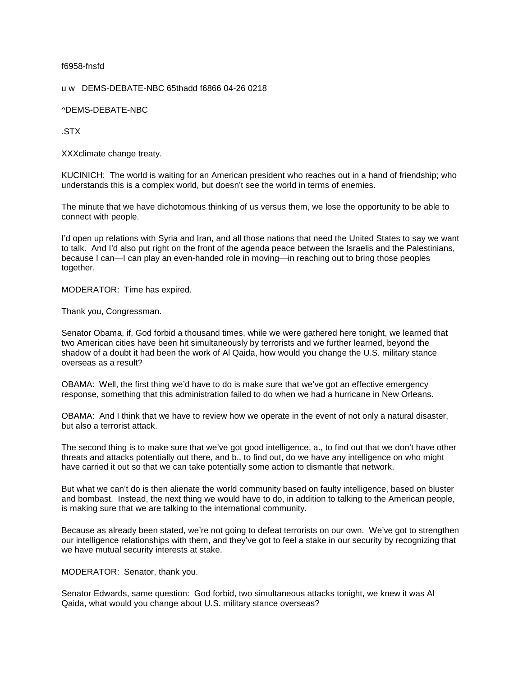#### f6958-fnsfd

u w DEMS-DEBATE-NBC 65thadd f6866 04-26 0218

#### ^DEMS-DEBATE-NBC

.STX

XXXclimate change treaty.

KUCINICH: The world is waiting for an American president who reaches out in a hand of friendship; who understands this is a complex world, but doesn't see the world in terms of enemies.

The minute that we have dichotomous thinking of us versus them, we lose the opportunity to be able to connect with people.

I'd open up relations with Syria and Iran, and all those nations that need the United States to say we want to talk. And I'd also put right on the front of the agenda peace between the Israelis and the Palestinians, because I can—I can play an even-handed role in moving—in reaching out to bring those peoples together.

MODERATOR: Time has expired.

Thank you, Congressman.

Senator Obama, if, God forbid a thousand times, while we were gathered here tonight, we learned that two American cities have been hit simultaneously by terrorists and we further learned, beyond the shadow of a doubt it had been the work of Al Qaida, how would you change the U.S. military stance overseas as a result?

OBAMA: Well, the first thing we'd have to do is make sure that we've got an effective emergency response, something that this administration failed to do when we had a hurricane in New Orleans.

OBAMA: And I think that we have to review how we operate in the event of not only a natural disaster, but also a terrorist attack.

The second thing is to make sure that we've got good intelligence, a., to find out that we don't have other threats and attacks potentially out there, and b., to find out, do we have any intelligence on who might have carried it out so that we can take potentially some action to dismantle that network.

But what we can't do is then alienate the world community based on faulty intelligence, based on bluster and bombast. Instead, the next thing we would have to do, in addition to talking to the American people, is making sure that we are talking to the international community.

Because as already been stated, we're not going to defeat terrorists on our own. We've got to strengthen our intelligence relationships with them, and they've got to feel a stake in our security by recognizing that we have mutual security interests at stake.

MODERATOR: Senator, thank you.

Senator Edwards, same question: God forbid, two simultaneous attacks tonight, we knew it was Al Qaida, what would you change about U.S. military stance overseas?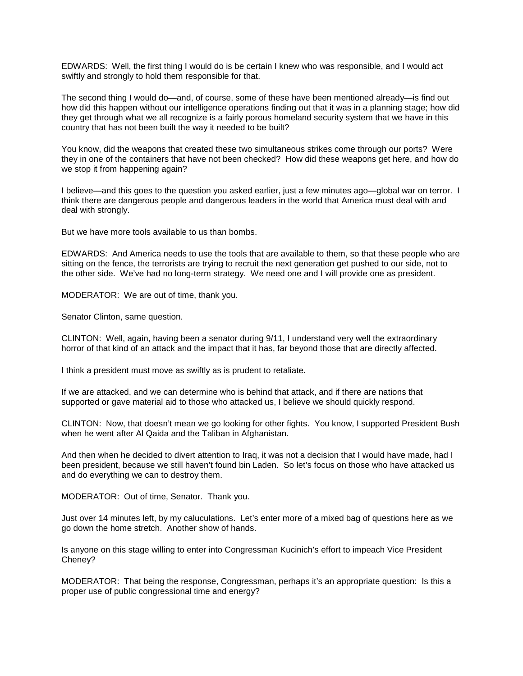EDWARDS: Well, the first thing I would do is be certain I knew who was responsible, and I would act swiftly and strongly to hold them responsible for that.

The second thing I would do—and, of course, some of these have been mentioned already—is find out how did this happen without our intelligence operations finding out that it was in a planning stage; how did they get through what we all recognize is a fairly porous homeland security system that we have in this country that has not been built the way it needed to be built?

You know, did the weapons that created these two simultaneous strikes come through our ports? Were they in one of the containers that have not been checked? How did these weapons get here, and how do we stop it from happening again?

I believe—and this goes to the question you asked earlier, just a few minutes ago—global war on terror. I think there are dangerous people and dangerous leaders in the world that America must deal with and deal with strongly.

But we have more tools available to us than bombs.

EDWARDS: And America needs to use the tools that are available to them, so that these people who are sitting on the fence, the terrorists are trying to recruit the next generation get pushed to our side, not to the other side. We've had no long-term strategy. We need one and I will provide one as president.

MODERATOR: We are out of time, thank you.

Senator Clinton, same question.

CLINTON: Well, again, having been a senator during 9/11, I understand very well the extraordinary horror of that kind of an attack and the impact that it has, far beyond those that are directly affected.

I think a president must move as swiftly as is prudent to retaliate.

If we are attacked, and we can determine who is behind that attack, and if there are nations that supported or gave material aid to those who attacked us, I believe we should quickly respond.

CLINTON: Now, that doesn't mean we go looking for other fights. You know, I supported President Bush when he went after Al Qaida and the Taliban in Afghanistan.

And then when he decided to divert attention to Iraq, it was not a decision that I would have made, had I been president, because we still haven't found bin Laden. So let's focus on those who have attacked us and do everything we can to destroy them.

MODERATOR: Out of time, Senator. Thank you.

Just over 14 minutes left, by my caluculations. Let's enter more of a mixed bag of questions here as we go down the home stretch. Another show of hands.

Is anyone on this stage willing to enter into Congressman Kucinich's effort to impeach Vice President Cheney?

MODERATOR: That being the response, Congressman, perhaps it's an appropriate question: Is this a proper use of public congressional time and energy?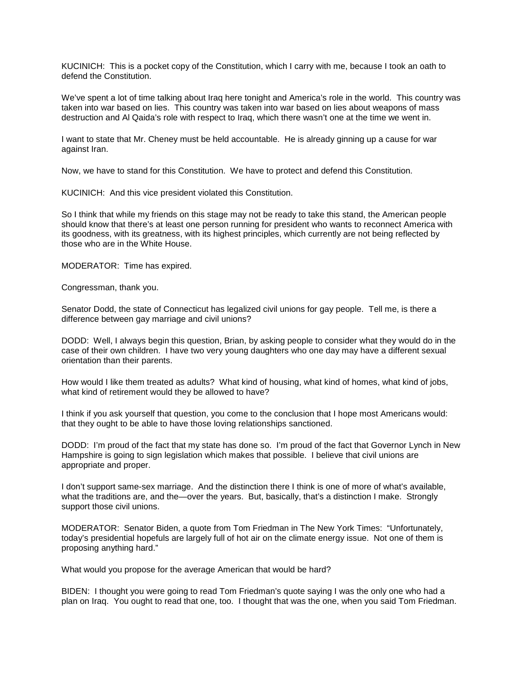KUCINICH: This is a pocket copy of the Constitution, which I carry with me, because I took an oath to defend the Constitution.

We've spent a lot of time talking about Iraq here tonight and America's role in the world. This country was taken into war based on lies. This country was taken into war based on lies about weapons of mass destruction and Al Qaida's role with respect to Iraq, which there wasn't one at the time we went in.

I want to state that Mr. Cheney must be held accountable. He is already ginning up a cause for war against Iran.

Now, we have to stand for this Constitution. We have to protect and defend this Constitution.

KUCINICH: And this vice president violated this Constitution.

So I think that while my friends on this stage may not be ready to take this stand, the American people should know that there's at least one person running for president who wants to reconnect America with its goodness, with its greatness, with its highest principles, which currently are not being reflected by those who are in the White House.

MODERATOR: Time has expired.

Congressman, thank you.

Senator Dodd, the state of Connecticut has legalized civil unions for gay people. Tell me, is there a difference between gay marriage and civil unions?

DODD: Well, I always begin this question, Brian, by asking people to consider what they would do in the case of their own children. I have two very young daughters who one day may have a different sexual orientation than their parents.

How would I like them treated as adults? What kind of housing, what kind of homes, what kind of jobs, what kind of retirement would they be allowed to have?

I think if you ask yourself that question, you come to the conclusion that I hope most Americans would: that they ought to be able to have those loving relationships sanctioned.

DODD: I'm proud of the fact that my state has done so. I'm proud of the fact that Governor Lynch in New Hampshire is going to sign legislation which makes that possible. I believe that civil unions are appropriate and proper.

I don't support same-sex marriage. And the distinction there I think is one of more of what's available, what the traditions are, and the—over the years. But, basically, that's a distinction I make. Strongly support those civil unions.

MODERATOR: Senator Biden, a quote from Tom Friedman in The New York Times: "Unfortunately, today's presidential hopefuls are largely full of hot air on the climate energy issue. Not one of them is proposing anything hard."

What would you propose for the average American that would be hard?

BIDEN: I thought you were going to read Tom Friedman's quote saying I was the only one who had a plan on Iraq. You ought to read that one, too. I thought that was the one, when you said Tom Friedman.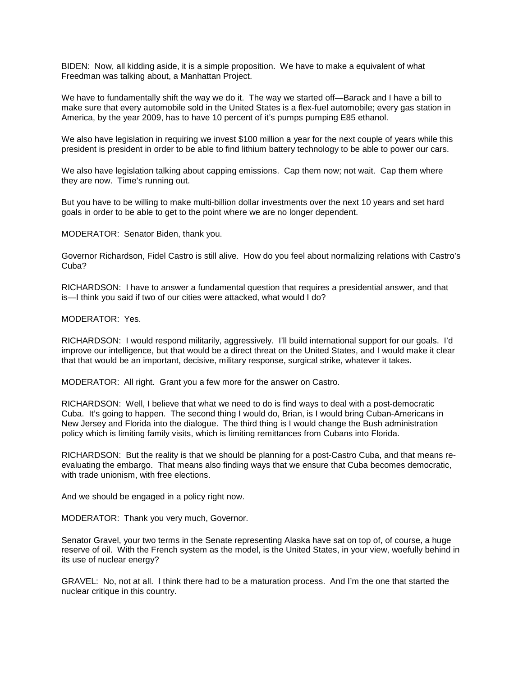BIDEN: Now, all kidding aside, it is a simple proposition. We have to make a equivalent of what Freedman was talking about, a Manhattan Project.

We have to fundamentally shift the way we do it. The way we started off—Barack and I have a bill to make sure that every automobile sold in the United States is a flex-fuel automobile; every gas station in America, by the year 2009, has to have 10 percent of it's pumps pumping E85 ethanol.

We also have legislation in requiring we invest \$100 million a year for the next couple of years while this president is president in order to be able to find lithium battery technology to be able to power our cars.

We also have legislation talking about capping emissions. Cap them now; not wait. Cap them where they are now. Time's running out.

But you have to be willing to make multi-billion dollar investments over the next 10 years and set hard goals in order to be able to get to the point where we are no longer dependent.

MODERATOR: Senator Biden, thank you.

Governor Richardson, Fidel Castro is still alive. How do you feel about normalizing relations with Castro's Cuba?

RICHARDSON: I have to answer a fundamental question that requires a presidential answer, and that is—I think you said if two of our cities were attacked, what would I do?

## MODERATOR: Yes.

RICHARDSON: I would respond militarily, aggressively. I'll build international support for our goals. I'd improve our intelligence, but that would be a direct threat on the United States, and I would make it clear that that would be an important, decisive, military response, surgical strike, whatever it takes.

MODERATOR: All right. Grant you a few more for the answer on Castro.

RICHARDSON: Well, I believe that what we need to do is find ways to deal with a post-democratic Cuba. It's going to happen. The second thing I would do, Brian, is I would bring Cuban-Americans in New Jersey and Florida into the dialogue. The third thing is I would change the Bush administration policy which is limiting family visits, which is limiting remittances from Cubans into Florida.

RICHARDSON: But the reality is that we should be planning for a post-Castro Cuba, and that means reevaluating the embargo. That means also finding ways that we ensure that Cuba becomes democratic, with trade unionism, with free elections.

And we should be engaged in a policy right now.

MODERATOR: Thank you very much, Governor.

Senator Gravel, your two terms in the Senate representing Alaska have sat on top of, of course, a huge reserve of oil. With the French system as the model, is the United States, in your view, woefully behind in its use of nuclear energy?

GRAVEL: No, not at all. I think there had to be a maturation process. And I'm the one that started the nuclear critique in this country.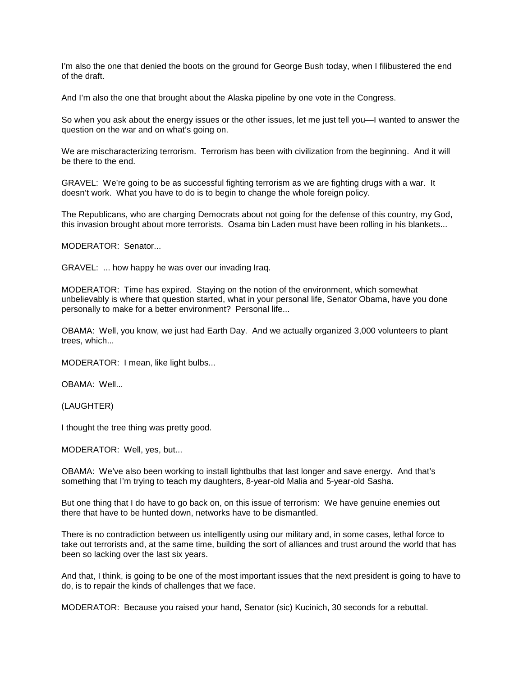I'm also the one that denied the boots on the ground for George Bush today, when I filibustered the end of the draft.

And I'm also the one that brought about the Alaska pipeline by one vote in the Congress.

So when you ask about the energy issues or the other issues, let me just tell you—I wanted to answer the question on the war and on what's going on.

We are mischaracterizing terrorism. Terrorism has been with civilization from the beginning. And it will be there to the end.

GRAVEL: We're going to be as successful fighting terrorism as we are fighting drugs with a war. It doesn't work. What you have to do is to begin to change the whole foreign policy.

The Republicans, who are charging Democrats about not going for the defense of this country, my God, this invasion brought about more terrorists. Osama bin Laden must have been rolling in his blankets...

MODERATOR: Senator...

GRAVEL: ... how happy he was over our invading Iraq.

MODERATOR: Time has expired. Staying on the notion of the environment, which somewhat unbelievably is where that question started, what in your personal life, Senator Obama, have you done personally to make for a better environment? Personal life...

OBAMA: Well, you know, we just had Earth Day. And we actually organized 3,000 volunteers to plant trees, which...

MODERATOR: I mean, like light bulbs...

OBAMA: Well...

(LAUGHTER)

I thought the tree thing was pretty good.

MODERATOR: Well, yes, but...

OBAMA: We've also been working to install lightbulbs that last longer and save energy. And that's something that I'm trying to teach my daughters, 8-year-old Malia and 5-year-old Sasha.

But one thing that I do have to go back on, on this issue of terrorism: We have genuine enemies out there that have to be hunted down, networks have to be dismantled.

There is no contradiction between us intelligently using our military and, in some cases, lethal force to take out terrorists and, at the same time, building the sort of alliances and trust around the world that has been so lacking over the last six years.

And that, I think, is going to be one of the most important issues that the next president is going to have to do, is to repair the kinds of challenges that we face.

MODERATOR: Because you raised your hand, Senator (sic) Kucinich, 30 seconds for a rebuttal.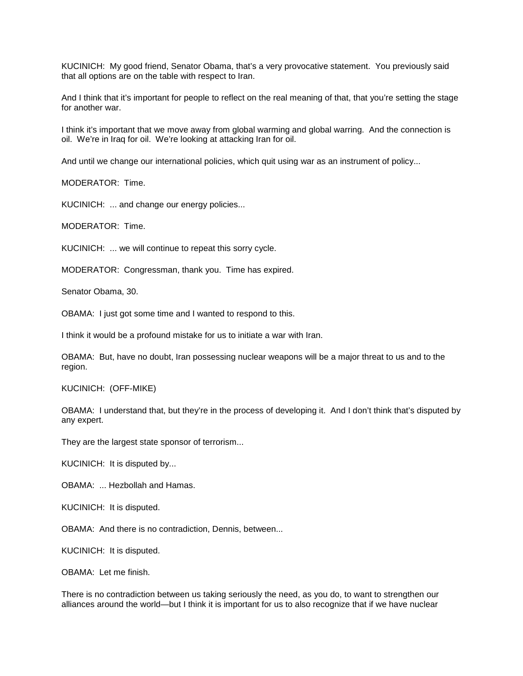KUCINICH: My good friend, Senator Obama, that's a very provocative statement. You previously said that all options are on the table with respect to Iran.

And I think that it's important for people to reflect on the real meaning of that, that you're setting the stage for another war.

I think it's important that we move away from global warming and global warring. And the connection is oil. We're in Iraq for oil. We're looking at attacking Iran for oil.

And until we change our international policies, which quit using war as an instrument of policy...

MODERATOR: Time.

KUCINICH: ... and change our energy policies...

MODERATOR: Time.

KUCINICH: ... we will continue to repeat this sorry cycle.

MODERATOR: Congressman, thank you. Time has expired.

Senator Obama, 30.

OBAMA: I just got some time and I wanted to respond to this.

I think it would be a profound mistake for us to initiate a war with Iran.

OBAMA: But, have no doubt, Iran possessing nuclear weapons will be a major threat to us and to the region.

KUCINICH: (OFF-MIKE)

OBAMA: I understand that, but they're in the process of developing it. And I don't think that's disputed by any expert.

They are the largest state sponsor of terrorism...

KUCINICH: It is disputed by...

OBAMA: ... Hezbollah and Hamas.

KUCINICH: It is disputed.

OBAMA: And there is no contradiction, Dennis, between...

KUCINICH: It is disputed.

OBAMA: Let me finish.

There is no contradiction between us taking seriously the need, as you do, to want to strengthen our alliances around the world—but I think it is important for us to also recognize that if we have nuclear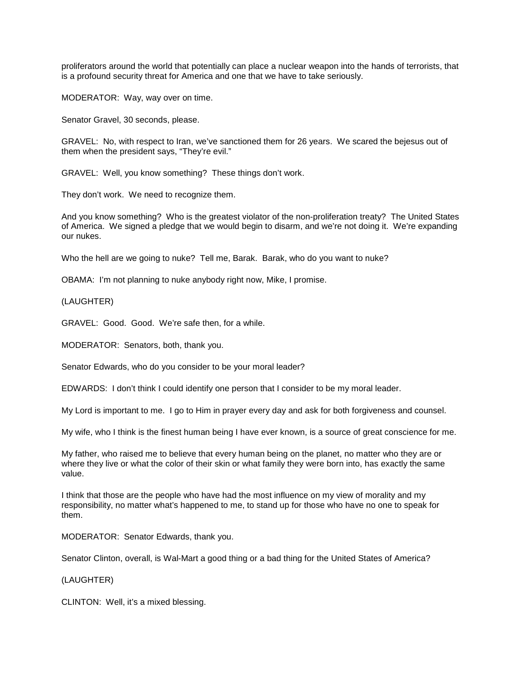proliferators around the world that potentially can place a nuclear weapon into the hands of terrorists, that is a profound security threat for America and one that we have to take seriously.

MODERATOR: Way, way over on time.

Senator Gravel, 30 seconds, please.

GRAVEL: No, with respect to Iran, we've sanctioned them for 26 years. We scared the bejesus out of them when the president says, "They're evil."

GRAVEL: Well, you know something? These things don't work.

They don't work. We need to recognize them.

And you know something? Who is the greatest violator of the non-proliferation treaty? The United States of America. We signed a pledge that we would begin to disarm, and we're not doing it. We're expanding our nukes.

Who the hell are we going to nuke? Tell me, Barak. Barak, who do you want to nuke?

OBAMA: I'm not planning to nuke anybody right now, Mike, I promise.

(LAUGHTER)

GRAVEL: Good. Good. We're safe then, for a while.

MODERATOR: Senators, both, thank you.

Senator Edwards, who do you consider to be your moral leader?

EDWARDS: I don't think I could identify one person that I consider to be my moral leader.

My Lord is important to me. I go to Him in prayer every day and ask for both forgiveness and counsel.

My wife, who I think is the finest human being I have ever known, is a source of great conscience for me.

My father, who raised me to believe that every human being on the planet, no matter who they are or where they live or what the color of their skin or what family they were born into, has exactly the same value.

I think that those are the people who have had the most influence on my view of morality and my responsibility, no matter what's happened to me, to stand up for those who have no one to speak for them.

MODERATOR: Senator Edwards, thank you.

Senator Clinton, overall, is Wal-Mart a good thing or a bad thing for the United States of America?

(LAUGHTER)

CLINTON: Well, it's a mixed blessing.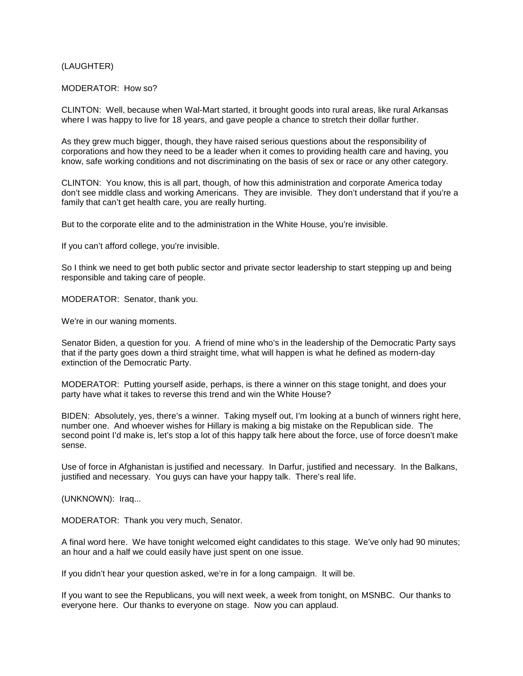## (LAUGHTER)

#### MODERATOR: How so?

CLINTON: Well, because when Wal-Mart started, it brought goods into rural areas, like rural Arkansas where I was happy to live for 18 years, and gave people a chance to stretch their dollar further.

As they grew much bigger, though, they have raised serious questions about the responsibility of corporations and how they need to be a leader when it comes to providing health care and having, you know, safe working conditions and not discriminating on the basis of sex or race or any other category.

CLINTON: You know, this is all part, though, of how this administration and corporate America today don't see middle class and working Americans. They are invisible. They don't understand that if you're a family that can't get health care, you are really hurting.

But to the corporate elite and to the administration in the White House, you're invisible.

If you can't afford college, you're invisible.

So I think we need to get both public sector and private sector leadership to start stepping up and being responsible and taking care of people.

MODERATOR: Senator, thank you.

We're in our waning moments.

Senator Biden, a question for you. A friend of mine who's in the leadership of the Democratic Party says that if the party goes down a third straight time, what will happen is what he defined as modern-day extinction of the Democratic Party.

MODERATOR: Putting yourself aside, perhaps, is there a winner on this stage tonight, and does your party have what it takes to reverse this trend and win the White House?

BIDEN: Absolutely, yes, there's a winner. Taking myself out, I'm looking at a bunch of winners right here, number one. And whoever wishes for Hillary is making a big mistake on the Republican side. The second point I'd make is, let's stop a lot of this happy talk here about the force, use of force doesn't make sense.

Use of force in Afghanistan is justified and necessary. In Darfur, justified and necessary. In the Balkans, justified and necessary. You guys can have your happy talk. There's real life.

(UNKNOWN): Iraq...

MODERATOR: Thank you very much, Senator.

A final word here. We have tonight welcomed eight candidates to this stage. We've only had 90 minutes; an hour and a half we could easily have just spent on one issue.

If you didn't hear your question asked, we're in for a long campaign. It will be.

If you want to see the Republicans, you will next week, a week from tonight, on MSNBC. Our thanks to everyone here. Our thanks to everyone on stage. Now you can applaud.